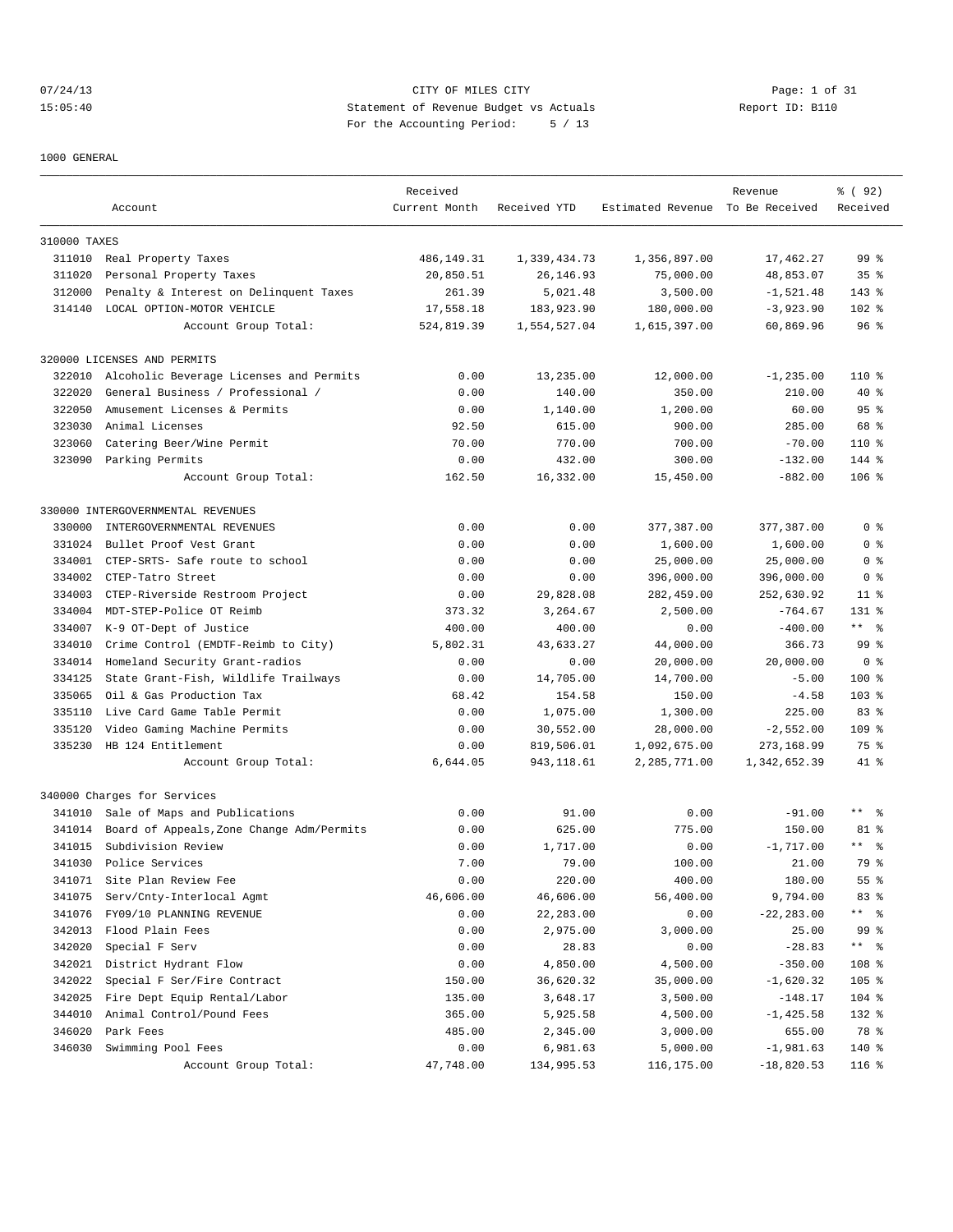07/24/13 Page: 1 of 31 15:05:40 Statement of Revenue Budget vs Actuals Report ID: B110 For the Accounting Period: 5 / 13

1000 GENERAL

|              |                                           |                           |              |                                  |               | % ( 92 )             |
|--------------|-------------------------------------------|---------------------------|--------------|----------------------------------|---------------|----------------------|
|              | Account                                   | Received<br>Current Month | Received YTD | Estimated Revenue To Be Received | Revenue       | Received             |
|              |                                           |                           |              |                                  |               |                      |
| 310000 TAXES |                                           |                           |              |                                  |               |                      |
|              | 311010 Real Property Taxes                | 486, 149. 31              | 1,339,434.73 | 1,356,897.00                     | 17,462.27     | 99 <sup>8</sup>      |
| 311020       | Personal Property Taxes                   | 20,850.51                 | 26, 146.93   | 75,000.00                        | 48,853.07     | 35 <sup>8</sup>      |
| 312000       | Penalty & Interest on Delinquent Taxes    | 261.39                    | 5,021.48     | 3,500.00                         | $-1,521.48$   | $143*$               |
| 314140       | LOCAL OPTION-MOTOR VEHICLE                | 17,558.18                 | 183,923.90   | 180,000.00                       | $-3,923.90$   | $102$ %              |
|              | Account Group Total:                      | 524,819.39                | 1,554,527.04 | 1,615,397.00                     | 60,869.96     | 96 <sup>°</sup>      |
|              | 320000 LICENSES AND PERMITS               |                           |              |                                  |               |                      |
| 322010       | Alcoholic Beverage Licenses and Permits   | 0.00                      | 13,235.00    | 12,000.00                        | $-1, 235.00$  | 110 %                |
| 322020       | General Business / Professional /         | 0.00                      | 140.00       | 350.00                           | 210.00        | 40 %                 |
| 322050       | Amusement Licenses & Permits              | 0.00                      | 1,140.00     | 1,200.00                         | 60.00         | 95%                  |
| 323030       | Animal Licenses                           | 92.50                     | 615.00       | 900.00                           | 285.00        | 68 %                 |
| 323060       | Catering Beer/Wine Permit                 | 70.00                     | 770.00       | 700.00                           | $-70.00$      | 110 %                |
|              | 323090 Parking Permits                    | 0.00                      | 432.00       | 300.00                           | $-132.00$     | 144 %                |
|              | Account Group Total:                      | 162.50                    | 16,332.00    | 15,450.00                        | $-882.00$     | $106$ %              |
|              | 330000 INTERGOVERNMENTAL REVENUES         |                           |              |                                  |               |                      |
| 330000       | INTERGOVERNMENTAL REVENUES                | 0.00                      | 0.00         | 377,387.00                       | 377,387.00    | 0 <sup>8</sup>       |
| 331024       | Bullet Proof Vest Grant                   | 0.00                      | 0.00         | 1,600.00                         | 1,600.00      | 0 <sup>8</sup>       |
| 334001       | CTEP-SRTS- Safe route to school           | 0.00                      | 0.00         | 25,000.00                        | 25,000.00     | 0 <sup>8</sup>       |
| 334002       | CTEP-Tatro Street                         | 0.00                      | 0.00         | 396,000.00                       | 396,000.00    | 0 <sup>8</sup>       |
| 334003       | CTEP-Riverside Restroom Project           | 0.00                      | 29,828.08    | 282,459.00                       | 252,630.92    | $11$ %               |
| 334004       | MDT-STEP-Police OT Reimb                  | 373.32                    | 3,264.67     | 2,500.00                         | $-764.67$     | 131 %                |
| 334007       |                                           | 400.00                    | 400.00       |                                  | $-400.00$     | $***$ $ \frac{6}{9}$ |
|              | K-9 OT-Dept of Justice                    |                           |              | 0.00                             |               | 99 %                 |
| 334010       | Crime Control (EMDTF-Reimb to City)       | 5,802.31                  | 43,633.27    | 44,000.00                        | 366.73        |                      |
| 334014       | Homeland Security Grant-radios            | 0.00                      | 0.00         | 20,000.00                        | 20,000.00     | 0 <sup>8</sup>       |
| 334125       | State Grant-Fish, Wildlife Trailways      | 0.00                      | 14,705.00    | 14,700.00                        | $-5.00$       | $100*$               |
| 335065       | Oil & Gas Production Tax                  | 68.42                     | 154.58       | 150.00                           | $-4.58$       | $103$ %              |
| 335110       | Live Card Game Table Permit               | 0.00                      | 1,075.00     | 1,300.00                         | 225.00        | 83%                  |
| 335120       | Video Gaming Machine Permits              | 0.00                      | 30,552.00    | 28,000.00                        | $-2,552.00$   | 109 %                |
| 335230       | HB 124 Entitlement                        | 0.00                      | 819,506.01   | 1,092,675.00                     | 273,168.99    | 75 %                 |
|              | Account Group Total:                      | 6,644.05                  | 943,118.61   | 2,285,771.00                     | 1,342,652.39  | 41 %                 |
|              | 340000 Charges for Services               |                           |              |                                  |               |                      |
| 341010       | Sale of Maps and Publications             | 0.00                      | 91.00        | 0.00                             | $-91.00$      | $***$ $ \frac{6}{9}$ |
| 341014       | Board of Appeals, Zone Change Adm/Permits | 0.00                      | 625.00       | 775.00                           | 150.00        | 81 %                 |
| 341015       | Subdivision Review                        | 0.00                      | 1,717.00     | 0.00                             | $-1,717.00$   | $***$ 8              |
| 341030       | Police Services                           | 7.00                      | 79.00        | 100.00                           | 21.00         | 79 %                 |
| 341071       | Site Plan Review Fee                      | 0.00                      | 220.00       | 400.00                           | 180.00        | 55 %                 |
| 341075       | Serv/Cnty-Interlocal Agmt                 | 46,606.00                 | 46,606.00    | 56,400.00                        | 9,794.00      | 83 %                 |
| 341076       | FY09/10 PLANNING REVENUE                  | 0.00                      | 22,283.00    | 0.00                             | $-22, 283.00$ | $***$ $ \frac{6}{9}$ |
| 342013       | Flood Plain Fees                          | 0.00                      | 2,975.00     | 3,000.00                         | 25.00         | 99 %                 |
| 342020       | Special F Serv                            | 0.00                      | 28.83        | 0.00                             | $-28.83$      | ** %                 |
| 342021       | District Hydrant Flow                     | 0.00                      | 4,850.00     | 4,500.00                         | $-350.00$     | 108 <sup>8</sup>     |
| 342022       | Special F Ser/Fire Contract               | 150.00                    | 36,620.32    | 35,000.00                        | $-1,620.32$   | $105$ %              |
| 342025       | Fire Dept Equip Rental/Labor              | 135.00                    | 3,648.17     | 3,500.00                         | $-148.17$     | $104$ %              |
| 344010       | Animal Control/Pound Fees                 | 365.00                    | 5,925.58     | 4,500.00                         | $-1, 425.58$  | 132 %                |
| 346020       | Park Fees                                 | 485.00                    | 2,345.00     | 3,000.00                         | 655.00        | 78 %                 |
| 346030       | Swimming Pool Fees                        | 0.00                      | 6,981.63     | 5,000.00                         | $-1,981.63$   | 140 %                |
|              | Account Group Total:                      | 47,748.00                 | 134,995.53   | 116,175.00                       | $-18,820.53$  | 116 %                |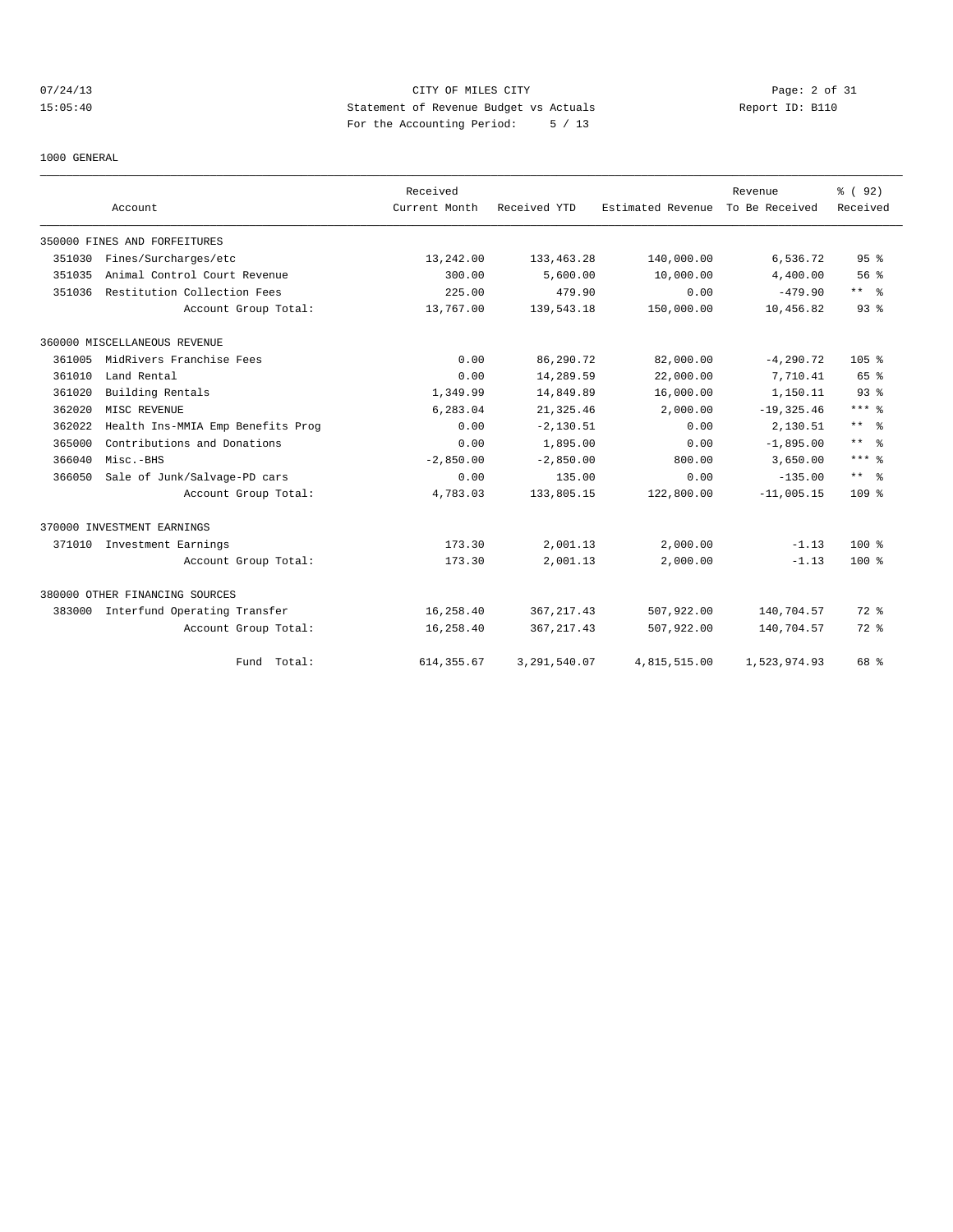## 07/24/13 Page: 2 of 31 15:05:40 Statement of Revenue Budget vs Actuals Report ID: B110 For the Accounting Period: 5 / 13

1000 GENERAL

|        |                                   | Received      |              |                   | Revenue        | % (92)               |
|--------|-----------------------------------|---------------|--------------|-------------------|----------------|----------------------|
|        | Account                           | Current Month | Received YTD | Estimated Revenue | To Be Received | Received             |
|        | 350000 FINES AND FORFEITURES      |               |              |                   |                |                      |
| 351030 | Fines/Surcharges/etc              | 13,242.00     | 133,463.28   | 140,000.00        | 6,536.72       | 95 <sup>8</sup>      |
| 351035 | Animal Control Court Revenue      | 300.00        | 5,600.00     | 10,000.00         | 4,400.00       | 56%                  |
| 351036 | Restitution Collection Fees       | 225.00        | 479.90       | 0.00              | $-479.90$      | $***$ $ \frac{6}{9}$ |
|        | Account Group Total:              | 13,767.00     | 139,543.18   | 150,000.00        | 10,456.82      | 93 <sup>8</sup>      |
|        | 360000 MISCELLANEOUS REVENUE      |               |              |                   |                |                      |
| 361005 | MidRivers Franchise Fees          | 0.00          | 86,290.72    | 82,000.00         | $-4, 290.72$   | 105%                 |
| 361010 | Land Rental                       | 0.00          | 14,289.59    | 22,000.00         | 7,710.41       | 65 %                 |
| 361020 | Building Rentals                  | 1,349.99      | 14,849.89    | 16,000.00         | 1,150.11       | 93 <sup>°</sup>      |
| 362020 | MISC REVENUE                      | 6,283.04      | 21, 325.46   | 2,000.00          | $-19, 325.46$  | $***$ $%$            |
| 362022 | Health Ins-MMIA Emp Benefits Prog | 0.00          | $-2.130.51$  | 0.00              | 2,130.51       | $***$ $\approx$      |
| 365000 | Contributions and Donations       | 0.00          | 1,895.00     | 0.00              | $-1,895.00$    | $***$ 8              |
| 366040 | Misc.-BHS                         | $-2.850.00$   | $-2.850.00$  | 800.00            | 3,650.00       | $***$ 8              |
| 366050 | Sale of Junk/Salvage-PD cars      | 0.00          | 135.00       | 0.00              | $-135.00$      | $***$ $ \frac{6}{9}$ |
|        | Account Group Total:              | 4,783.03      | 133,805.15   | 122,800.00        | $-11,005.15$   | 109 <sup>°</sup>     |
|        | 370000 INVESTMENT EARNINGS        |               |              |                   |                |                      |
| 371010 | Investment Earnings               | 173.30        | 2,001.13     | 2,000.00          | $-1.13$        | $100*$               |
|        | Account Group Total:              | 173.30        | 2,001.13     | 2,000.00          | $-1.13$        | $100*$               |
|        | 380000 OTHER FINANCING SOURCES    |               |              |                   |                |                      |
| 383000 | Interfund Operating Transfer      | 16,258.40     | 367, 217.43  | 507,922.00        | 140,704.57     | 72 %                 |
|        | Account Group Total:              | 16,258.40     | 367, 217.43  | 507,922.00        | 140,704.57     | $72$ $%$             |
|        | Fund Total:                       | 614, 355.67   | 3,291,540.07 | 4,815,515.00      | 1,523,974.93   | 68 %                 |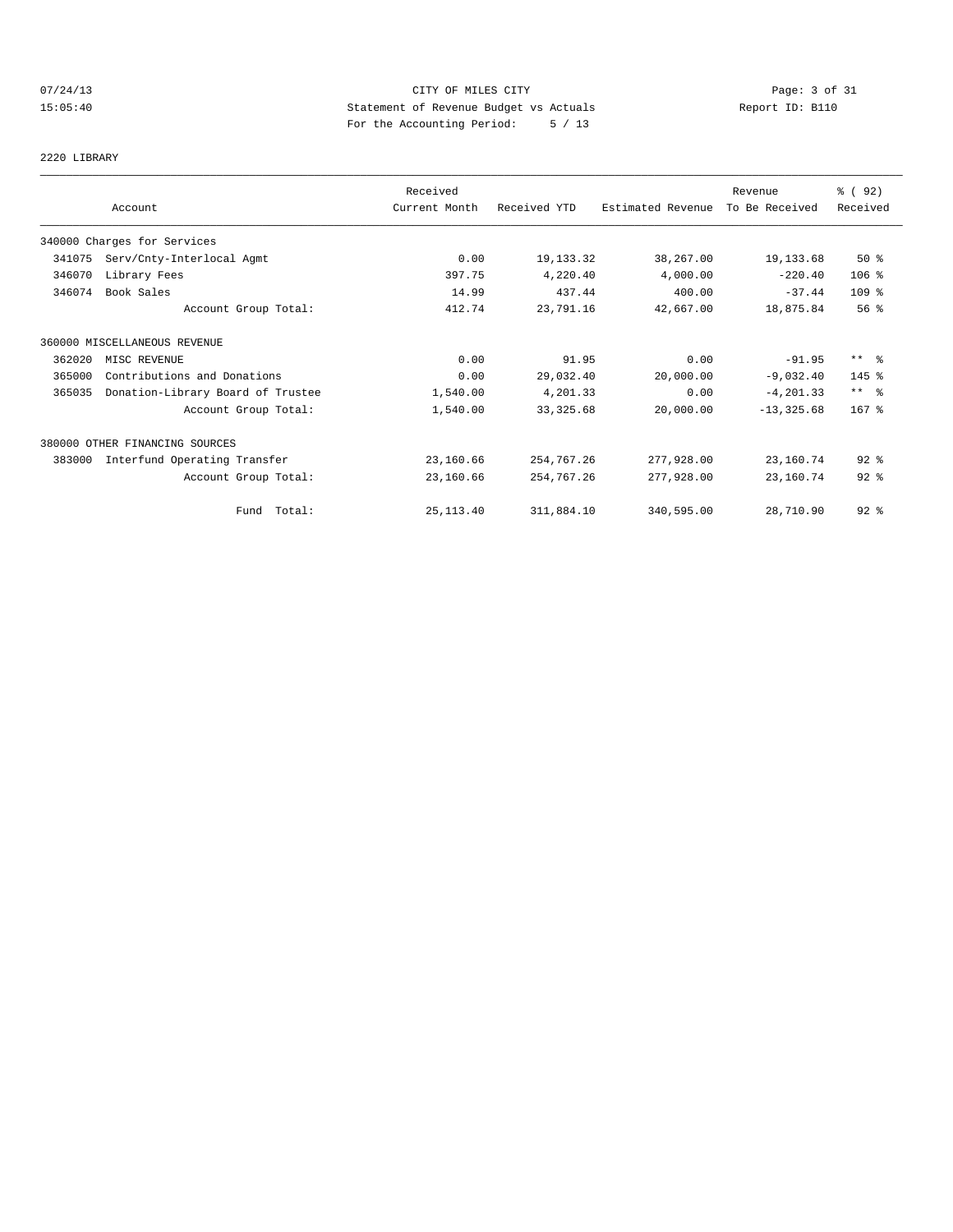## 07/24/13 Page: 3 of 31 15:05:40 Statement of Revenue Budget vs Actuals Report ID: B110 For the Accounting Period: 5 / 13

2220 LIBRARY

|        | Account                           | Received<br>Current Month | Received YTD | Estimated Revenue | Revenue<br>To Be Received | % ( 92)<br>Received  |
|--------|-----------------------------------|---------------------------|--------------|-------------------|---------------------------|----------------------|
|        | 340000 Charges for Services       |                           |              |                   |                           |                      |
| 341075 | Serv/Cnty-Interlocal Agmt         | 0.00                      | 19, 133. 32  | 38,267.00         | 19,133.68                 | 50%                  |
| 346070 | Library Fees                      | 397.75                    | 4,220.40     | 4,000.00          | $-220.40$                 | $106$ %              |
| 346074 | Book Sales                        | 14.99                     | 437.44       | 400.00            | $-37.44$                  | 109 %                |
|        | Account Group Total:              | 412.74                    | 23,791.16    | 42,667.00         | 18,875.84                 | 56 <sup>8</sup>      |
|        | 360000 MISCELLANEOUS REVENUE      |                           |              |                   |                           |                      |
| 362020 | MISC REVENUE                      | 0.00                      | 91.95        | 0.00              | $-91.95$                  | $***$ $ -$           |
| 365000 | Contributions and Donations       | 0.00                      | 29,032.40    | 20,000.00         | $-9,032.40$               | $145$ %              |
| 365035 | Donation-Library Board of Trustee | 1,540.00                  | 4,201.33     | 0.00              | $-4, 201.33$              | $***$ $ \frac{6}{6}$ |
|        | Account Group Total:              | 1,540.00                  | 33, 325.68   | 20,000.00         | $-13, 325.68$             | $167$ %              |
|        | 380000 OTHER FINANCING SOURCES    |                           |              |                   |                           |                      |
| 383000 | Interfund Operating Transfer      | 23,160.66                 | 254,767.26   | 277,928.00        | 23,160.74                 | $92*$                |
|        | Account Group Total:              | 23,160.66                 | 254,767.26   | 277,928.00        | 23,160.74                 | $92$ $%$             |
|        | Fund Total:                       | 25, 113, 40               | 311,884.10   | 340,595.00        | 28,710.90                 | $92$ $%$             |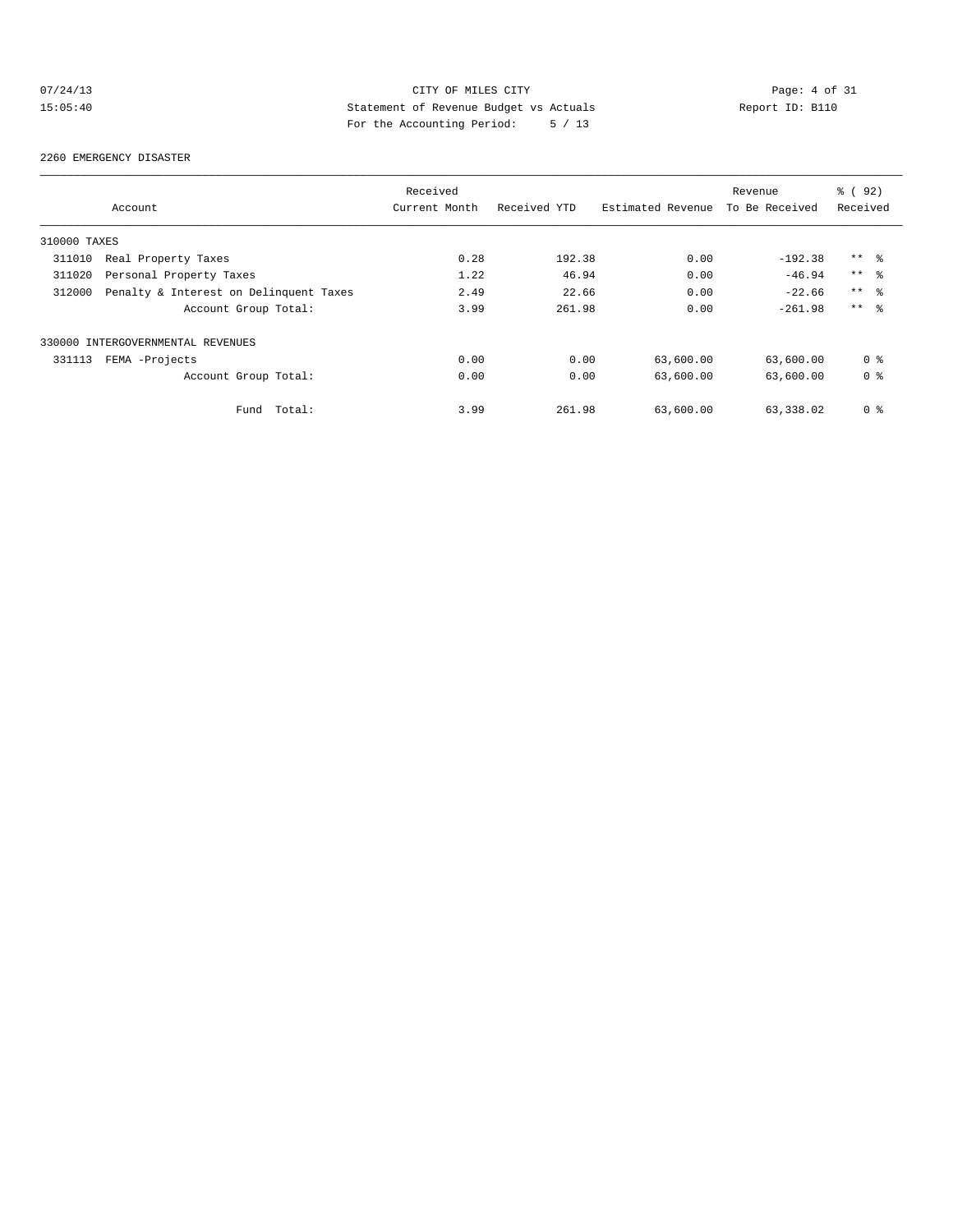## 07/24/13 Page: 4 of 31 15:05:40 Statement of Revenue Budget vs Actuals Report ID: B110 For the Accounting Period: 5 / 13

#### 2260 EMERGENCY DISASTER

|              |                                        | Received      |              |                   | Revenue        | % ( 92 )        |
|--------------|----------------------------------------|---------------|--------------|-------------------|----------------|-----------------|
|              | Account                                | Current Month | Received YTD | Estimated Revenue | To Be Received | Received        |
| 310000 TAXES |                                        |               |              |                   |                |                 |
| 311010       | Real Property Taxes                    | 0.28          | 192.38       | 0.00              | $-192.38$      | $***$ %         |
| 311020       | Personal Property Taxes                | 1.22          | 46.94        | 0.00              | $-46.94$       | $***$ $\approx$ |
| 312000       | Penalty & Interest on Delinquent Taxes | 2.49          | 22.66        | 0.00              | $-22.66$       | $***$ %         |
|              | Account Group Total:                   | 3.99          | 261.98       | 0.00              | $-261.98$      | $***$ $\approx$ |
|              | 330000 INTERGOVERNMENTAL REVENUES      |               |              |                   |                |                 |
| 331113       | FEMA -Projects                         | 0.00          | 0.00         | 63,600.00         | 63,600.00      | 0 <sup>8</sup>  |
|              | Account Group Total:                   | 0.00          | 0.00         | 63,600.00         | 63,600.00      | 0 <sup>8</sup>  |
|              | Total:<br>Fund                         | 3.99          | 261.98       | 63,600.00         | 63,338.02      | 0 <sup>8</sup>  |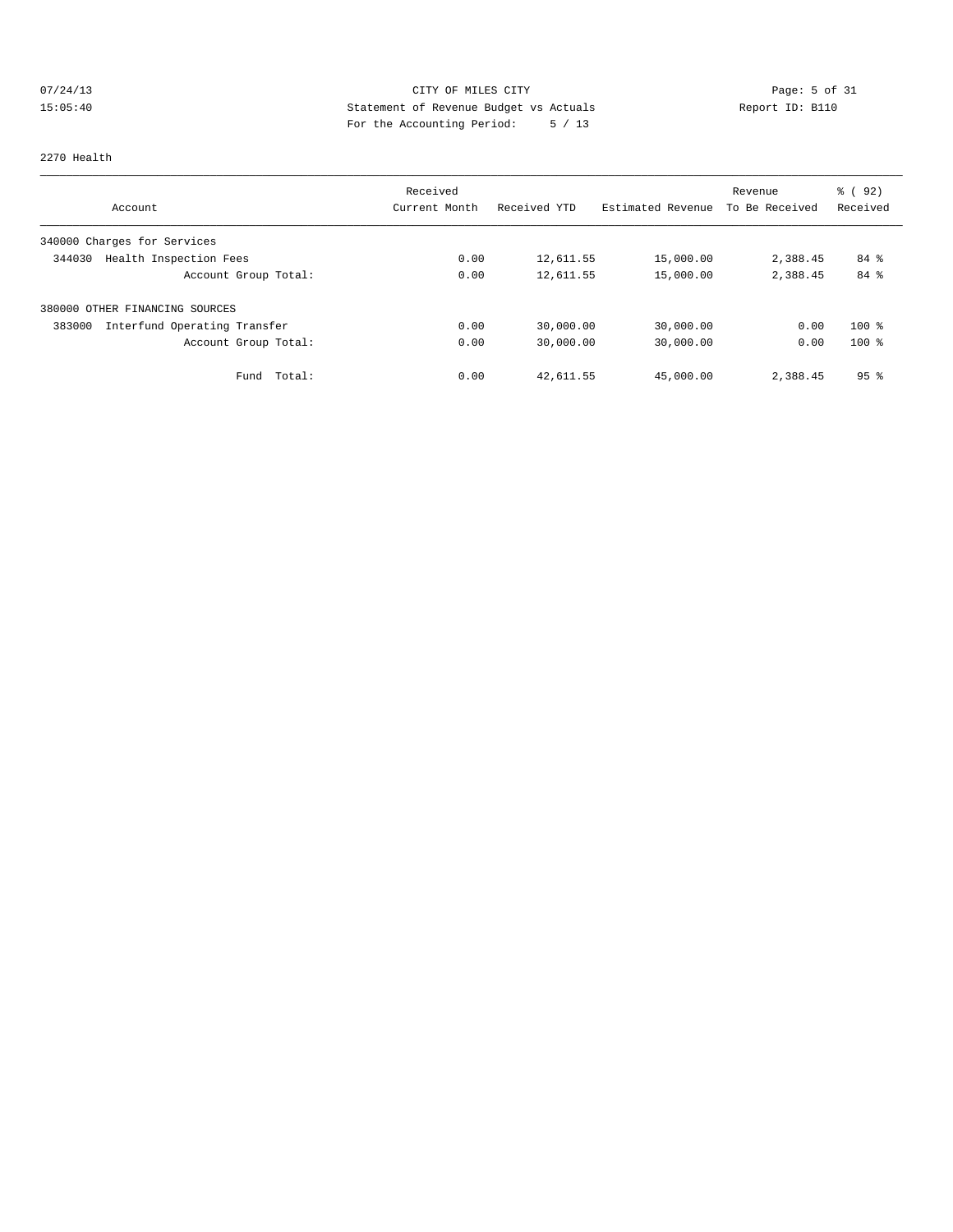## 07/24/13 Page: 5 of 31 15:05:40 Statement of Revenue Budget vs Actuals Report ID: B110 For the Accounting Period: 5 / 13

#### 2270 Health

|                                        | Received      |              |                   | Revenue        | 8 (92)          |
|----------------------------------------|---------------|--------------|-------------------|----------------|-----------------|
| Account                                | Current Month | Received YTD | Estimated Revenue | To Be Received | Received        |
| 340000 Charges for Services            |               |              |                   |                |                 |
| Health Inspection Fees<br>344030       | 0.00          | 12,611.55    | 15,000.00         | 2,388.45       | 84 %            |
| Account Group Total:                   | 0.00          | 12,611.55    | 15,000.00         | 2,388.45       | 84 %            |
| 380000 OTHER FINANCING SOURCES         |               |              |                   |                |                 |
| Interfund Operating Transfer<br>383000 | 0.00          | 30,000.00    | 30,000.00         | 0.00           | $100$ %         |
| Account Group Total:                   | 0.00          | 30,000.00    | 30,000.00         | 0.00           | $100*$          |
| Total:<br>Fund                         | 0.00          | 42,611.55    | 45,000.00         | 2,388.45       | 95 <sup>8</sup> |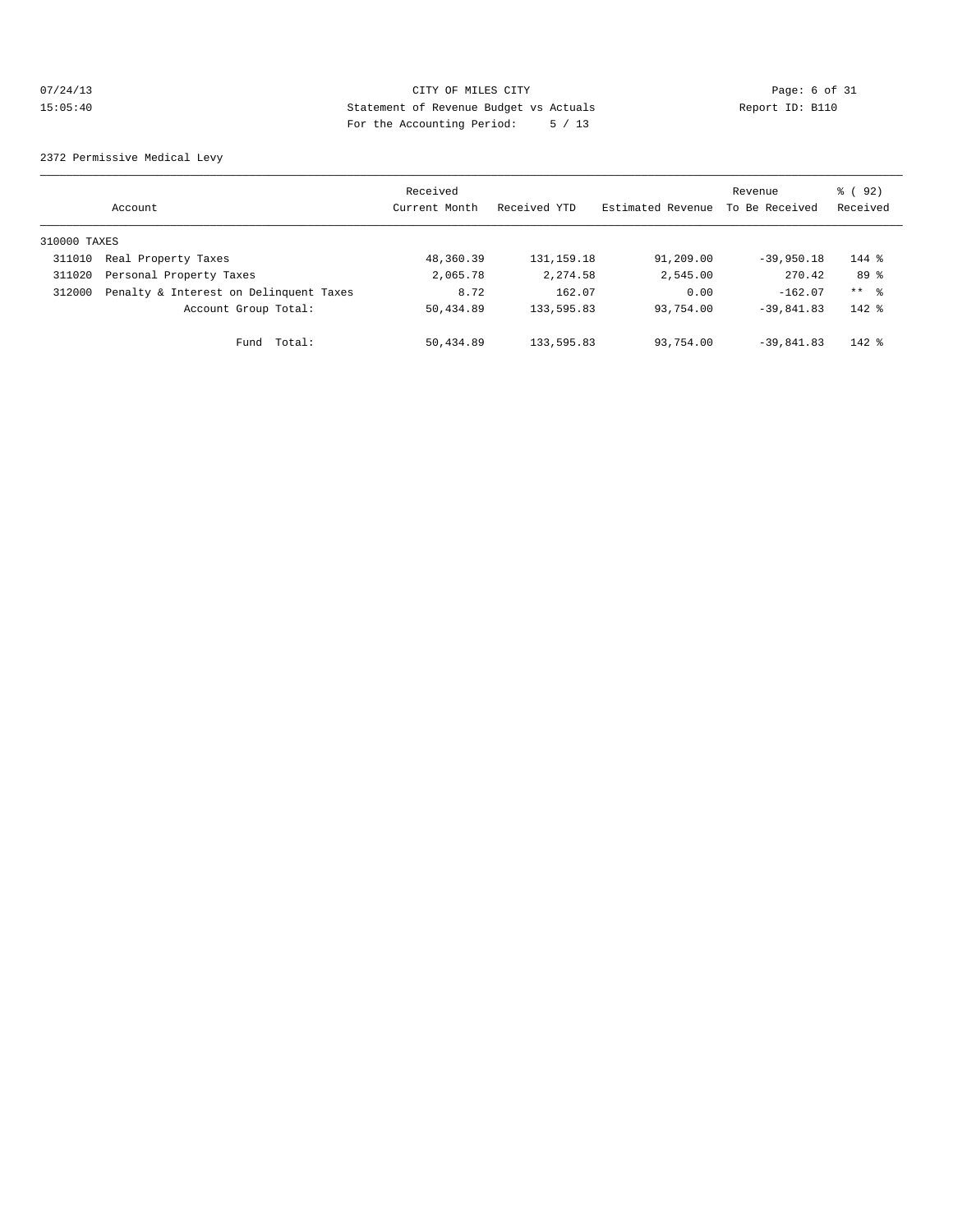## 07/24/13 CITY OF MILES CITY CHES CITY Page: 6 of 31<br>15:05:40 Statement of Revenue Budget vs Actuals Report ID: B110 15:05:40 Statement of Revenue Budget vs Actuals Report ID: B110 For the Accounting Period: 5 / 13

2372 Permissive Medical Levy

|              | Account                                | Received<br>Current Month | Received YTD | Estimated Revenue | Revenue<br>To Be Received | 8 (92)<br>Received |
|--------------|----------------------------------------|---------------------------|--------------|-------------------|---------------------------|--------------------|
| 310000 TAXES |                                        |                           |              |                   |                           |                    |
| 311010       | Real Property Taxes                    | 48,360.39                 | 131,159.18   | 91,209.00         | $-39,950.18$              | $144$ %            |
| 311020       | Personal Property Taxes                | 2,065.78                  | 2, 274.58    | 2,545.00          | 270.42                    | 89 %               |
| 312000       | Penalty & Interest on Delinquent Taxes | 8.72                      | 162.07       | 0.00              | $-162.07$                 | ** 응               |
|              | Account Group Total:                   | 50,434.89                 | 133,595.83   | 93,754.00         | $-39.841.83$              | $142$ %            |
|              | Total:<br>Fund                         | 50,434.89                 | 133,595.83   | 93,754.00         | $-39,841,83$              | $142$ %            |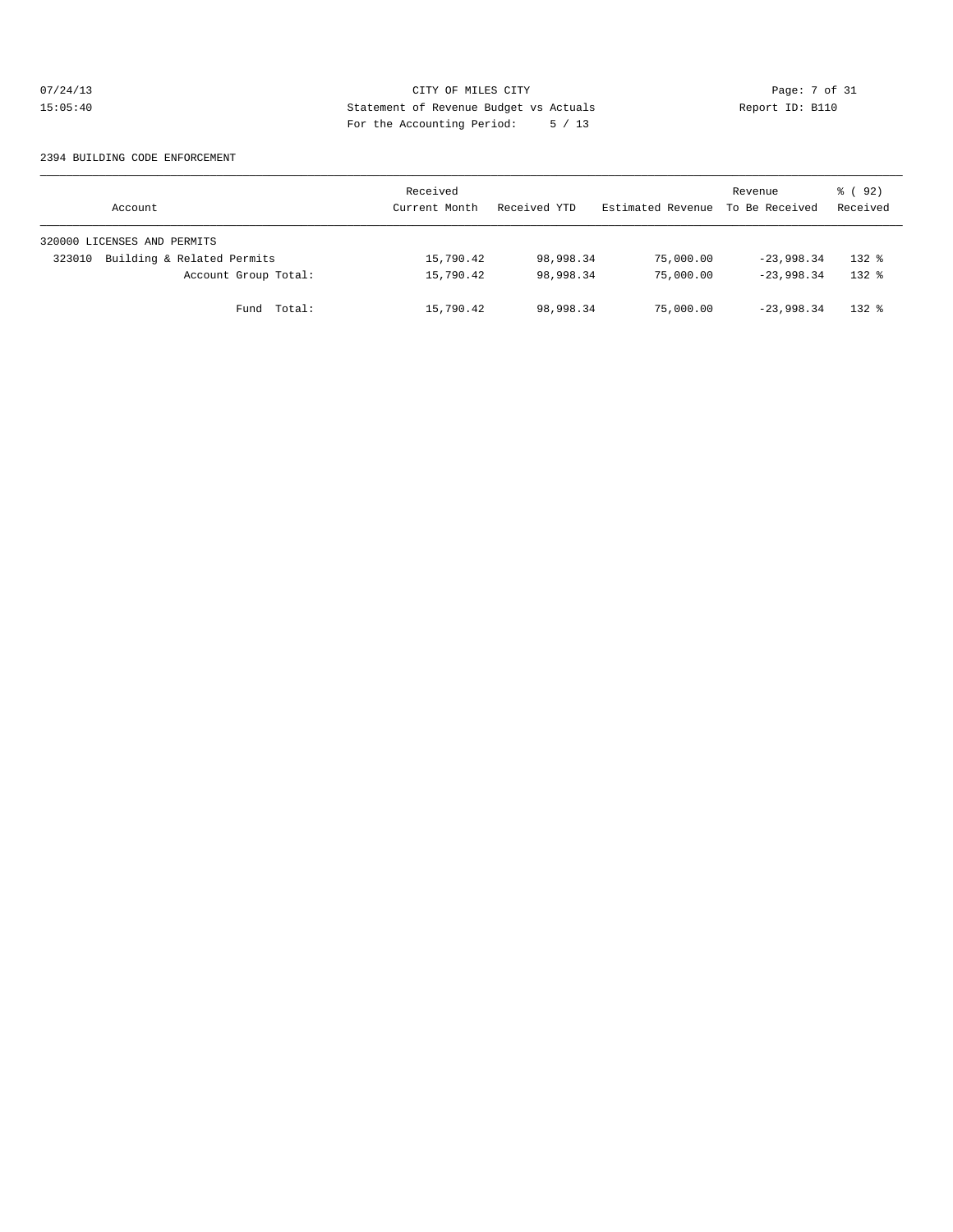## 07/24/13 Page: 7 of 31 15:05:40 Statement of Revenue Budget vs Actuals Report ID: B110<br>Report ID: B110 For the Accounting Period: 5 / 13

#### 2394 BUILDING CODE ENFORCEMENT

| Account                              | Received<br>Current Month | Received YTD | Estimated Revenue | Revenue<br>To Be Received | 8 (92)<br>Received |
|--------------------------------------|---------------------------|--------------|-------------------|---------------------------|--------------------|
| 320000 LICENSES AND PERMITS          |                           |              |                   |                           |                    |
| Building & Related Permits<br>323010 | 15,790.42                 | 98,998.34    | 75,000.00         | $-23,998.34$              | $132*$             |
| Account Group Total:                 | 15,790.42                 | 98,998.34    | 75,000.00         | $-23,998.34$              | $132*$             |
| Fund Total:                          | 15,790.42                 | 98,998.34    | 75,000.00         | $-23,998,34$              | $132*$             |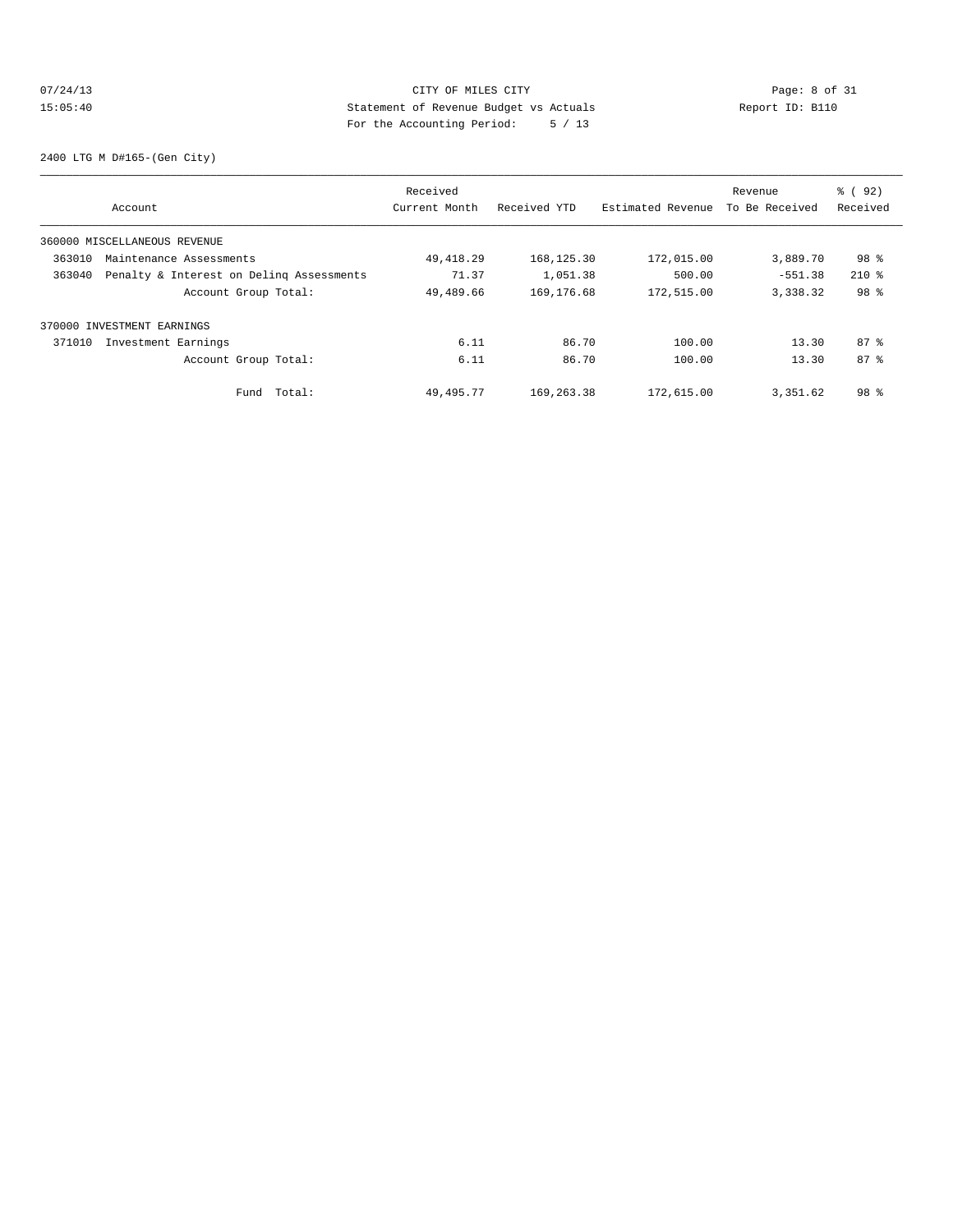## 07/24/13 CITY OF MILES CITY CHES CITY Page: 8 of 31<br>15:05:40 Statement of Revenue Budget vs Actuals Report ID: B110 15:05:40 Statement of Revenue Budget vs Actuals Report ID: B110 For the Accounting Period: 5 / 13

2400 LTG M D#165-(Gen City)

|        |                                          | Received      |              |                   | Revenue        | % ( 92)         |
|--------|------------------------------------------|---------------|--------------|-------------------|----------------|-----------------|
|        | Account                                  | Current Month | Received YTD | Estimated Revenue | To Be Received | Received        |
|        | 360000 MISCELLANEOUS REVENUE             |               |              |                   |                |                 |
| 363010 | Maintenance Assessments                  | 49, 418.29    | 168, 125.30  | 172,015.00        | 3,889.70       | 98 %            |
| 363040 | Penalty & Interest on Deling Assessments | 71.37         | 1,051.38     | 500.00            | $-551.38$      | $210*$          |
|        | Account Group Total:                     | 49,489.66     | 169,176.68   | 172,515.00        | 3,338.32       | 98 %            |
|        | 370000 INVESTMENT EARNINGS               |               |              |                   |                |                 |
| 371010 | Investment Earnings                      | 6.11          | 86.70        | 100.00            | 13.30          | 87%             |
|        | Account Group Total:                     | 6.11          | 86.70        | 100.00            | 13.30          | 87 <sup>8</sup> |
|        | Fund Total:                              | 49,495.77     | 169,263.38   | 172,615.00        | 3,351.62       | 98 %            |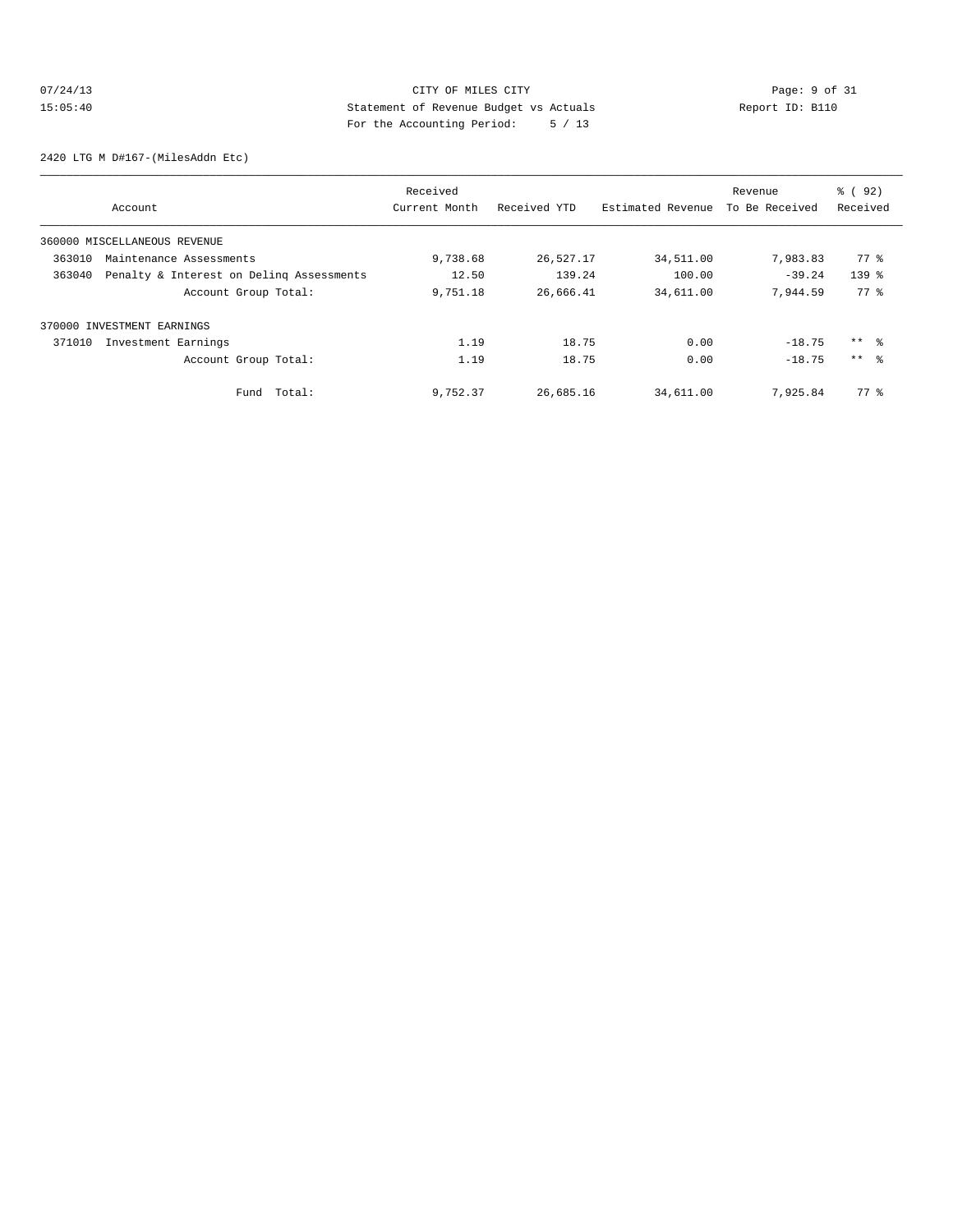## 07/24/13 CITY OF MILES CITY Page: 9 of 31<br>15:05:40 Budget vs Actuals Report ID: B110 15:05:40 Statement of Revenue Budget vs Actuals Report ID: B110 For the Accounting Period: 5 / 13

2420 LTG M D#167-(MilesAddn Etc)

|        |                                          | Received      |              |                   | Revenue        | $\frac{6}{6}$ (92) |
|--------|------------------------------------------|---------------|--------------|-------------------|----------------|--------------------|
|        | Account                                  | Current Month | Received YTD | Estimated Revenue | To Be Received | Received           |
|        | 360000 MISCELLANEOUS REVENUE             |               |              |                   |                |                    |
| 363010 | Maintenance Assessments                  | 9,738.68      | 26,527.17    | 34,511.00         | 7,983.83       | 77 %               |
| 363040 | Penalty & Interest on Deling Assessments | 12.50         | 139.24       | 100.00            | $-39.24$       | $139$ $%$          |
|        | Account Group Total:                     | 9,751.18      | 26,666.41    | 34,611.00         | 7,944.59       | 77 %               |
|        | 370000 INVESTMENT EARNINGS               |               |              |                   |                |                    |
| 371010 | Investment Earnings                      | 1.19          | 18.75        | 0.00              | $-18.75$       | ** 왕               |
|        | Account Group Total:                     | 1.19          | 18.75        | 0.00              | $-18.75$       | $***$ %            |
|        | Total:<br>Fund                           | 9,752.37      | 26,685.16    | 34,611.00         | 7,925.84       | 77.8               |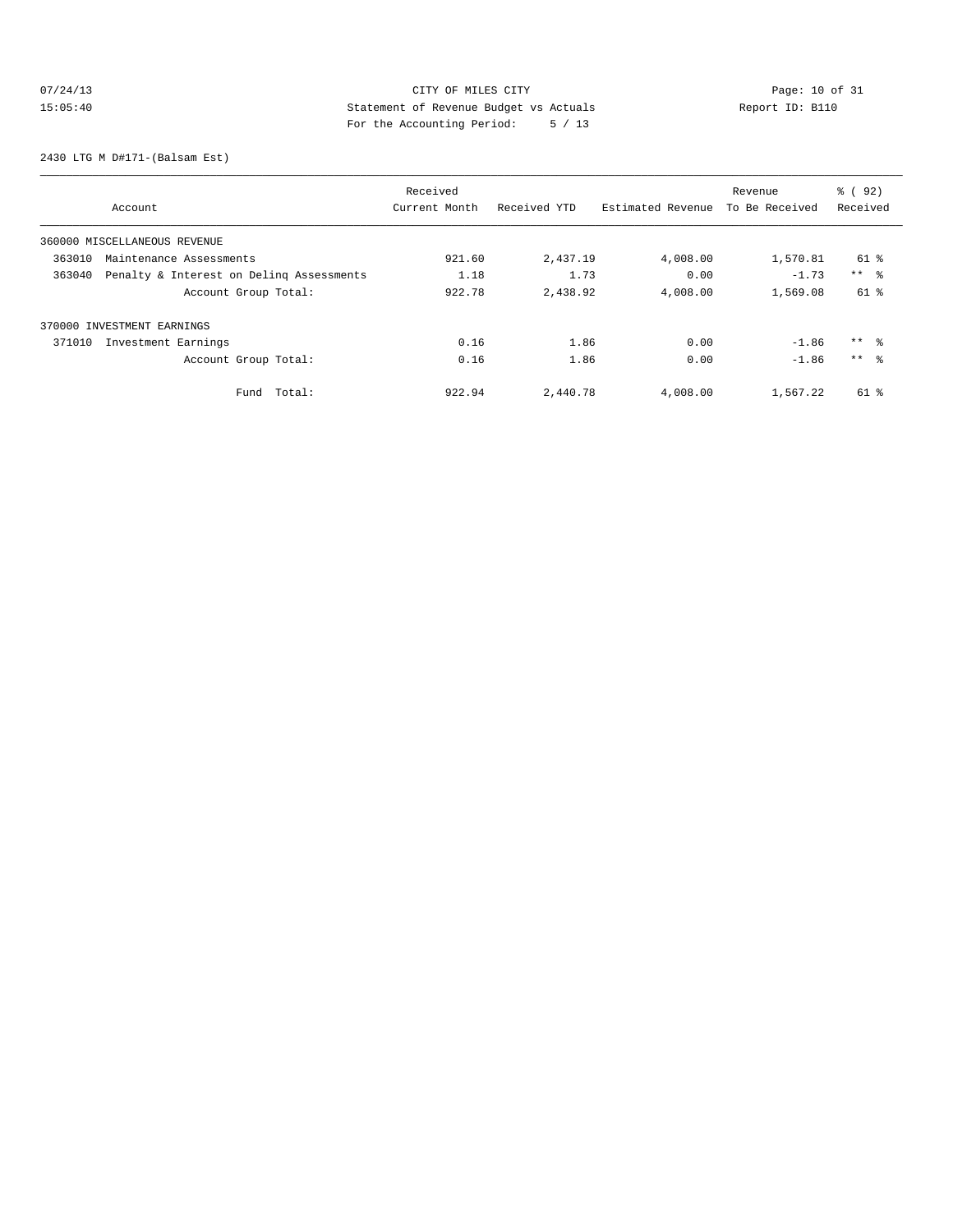## 07/24/13 CITY OF MILES CITY<br>15:05:40 DESEMBED Statement of Revenue Budget vs Actuals<br>15:05:40 Pay the Accounting Depical of 12 15:05:40 Statement of Revenue Budget vs Actuals Report ID: B110 For the Accounting Period: 5 / 13

2430 LTG M D#171-(Balsam Est)

|                              |                                          | Received      |              |                   | Revenue        | % ( 92)             |
|------------------------------|------------------------------------------|---------------|--------------|-------------------|----------------|---------------------|
| Account                      |                                          | Current Month | Received YTD | Estimated Revenue | To Be Received | Received            |
| 360000 MISCELLANEOUS REVENUE |                                          |               |              |                   |                |                     |
| 363010                       | Maintenance Assessments                  | 921.60        | 2,437.19     | 4,008.00          | 1,570.81       | 61 %                |
| 363040                       | Penalty & Interest on Deling Assessments | 1.18          | 1.73         | 0.00              | $-1.73$        | $***$ $\frac{6}{5}$ |
|                              | Account Group Total:                     | 922.78        | 2,438.92     | 4,008.00          | 1,569.08       | 61 %                |
| 370000 INVESTMENT EARNINGS   |                                          |               |              |                   |                |                     |
| 371010                       | Investment Earnings                      | 0.16          | 1.86         | 0.00              | $-1.86$        | $***$ $\approx$     |
|                              | Account Group Total:                     | 0.16          | 1.86         | 0.00              | $-1.86$        | $***$ 8             |
|                              | Total:<br>Fund                           | 922.94        | 2,440.78     | 4,008.00          | 1,567.22       | 61 %                |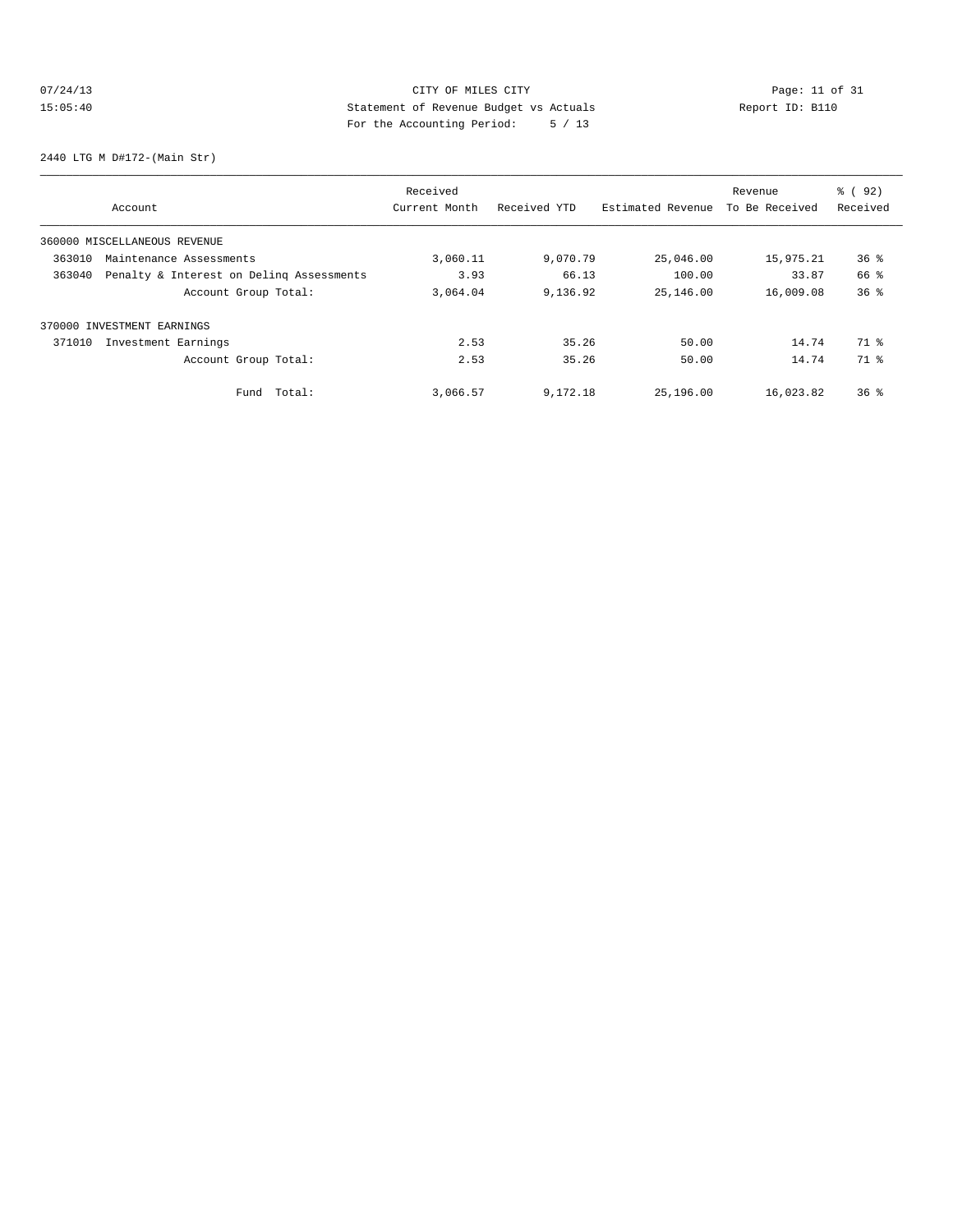# 07/24/13 CITY OF MILES CITY<br>15:05:40 DESEMBED Statement of Revenue Budget vs Actuals<br>15:05:40 Pay the Accounting Depical of 12 15:05:40 Statement of Revenue Budget vs Actuals Report ID: B110 For the Accounting Period: 5 / 13

2440 LTG M D#172-(Main Str)

|        |                                          | Received      |              |                   | Revenue        | % ( 92)         |
|--------|------------------------------------------|---------------|--------------|-------------------|----------------|-----------------|
|        | Account                                  | Current Month | Received YTD | Estimated Revenue | To Be Received | Received        |
|        | 360000 MISCELLANEOUS REVENUE             |               |              |                   |                |                 |
| 363010 | Maintenance Assessments                  | 3,060.11      | 9,070.79     | 25,046.00         | 15,975.21      | $36$ $%$        |
| 363040 | Penalty & Interest on Deling Assessments | 3.93          | 66.13        | 100.00            | 33.87          | 66 %            |
|        | Account Group Total:                     | 3,064.04      | 9,136.92     | 25,146.00         | 16,009.08      | 36 <sup>8</sup> |
|        | 370000 INVESTMENT EARNINGS               |               |              |                   |                |                 |
| 371010 | Investment Earnings                      | 2.53          | 35.26        | 50.00             | 14.74          | 71 %            |
|        | Account Group Total:                     | 2.53          | 35.26        | 50.00             | 14.74          | 71 %            |
|        | Total:<br>Fund                           | 3,066.57      | 9,172.18     | 25,196.00         | 16,023.82      | $36*$           |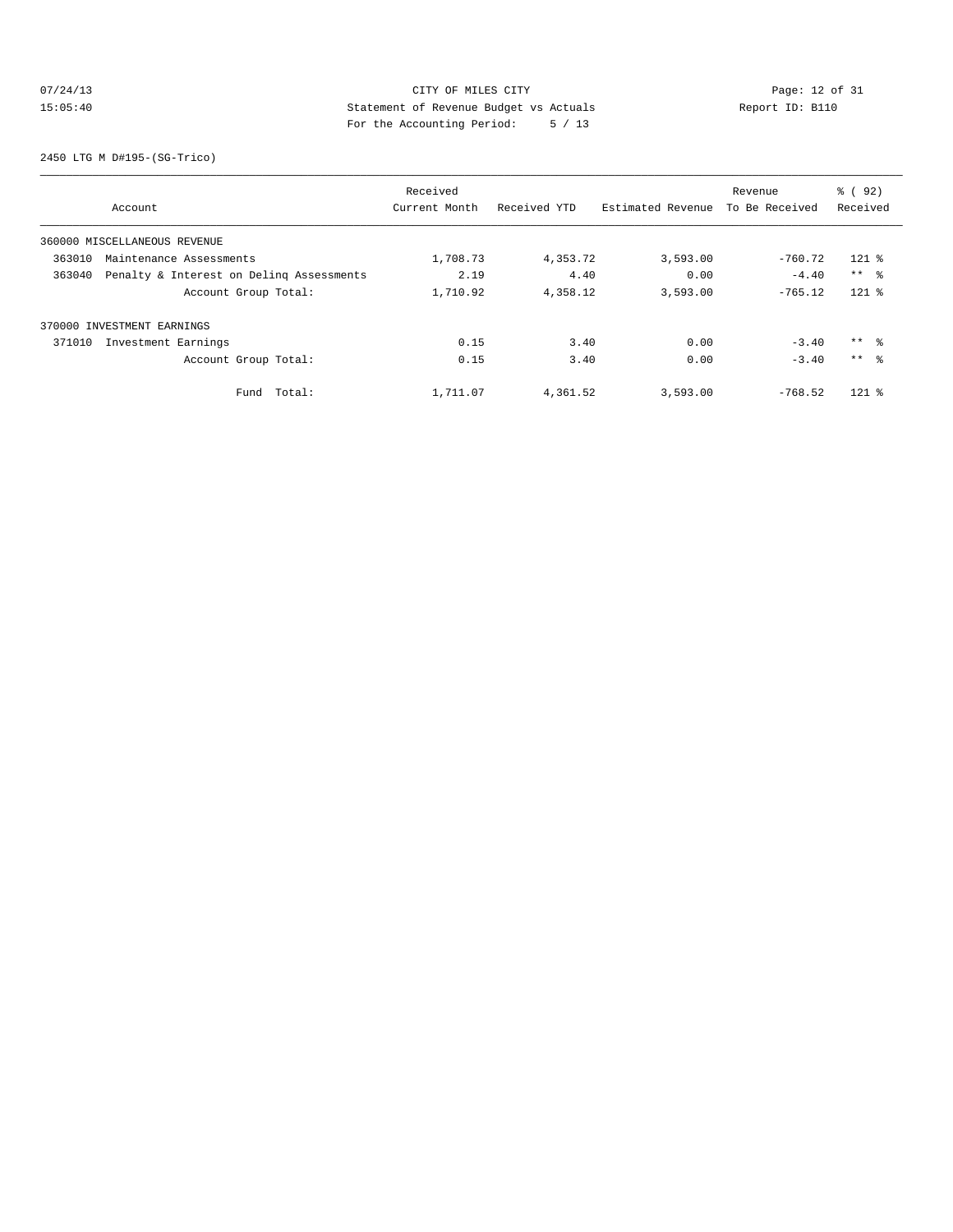## 07/24/13 CITY OF MILES CITY<br>15:05:40 DESEMBED Statement of Revenue Budget vs Actuals<br>15:05:40 Pay the Accounting Depical of 12 15:05:40 Statement of Revenue Budget vs Actuals Report ID: B110 For the Accounting Period: 5 / 13

2450 LTG M D#195-(SG-Trico)

|        |                                          | Received      |              |                   | Revenue        | % ( 92)         |
|--------|------------------------------------------|---------------|--------------|-------------------|----------------|-----------------|
|        | Account                                  | Current Month | Received YTD | Estimated Revenue | To Be Received | Received        |
|        | 360000 MISCELLANEOUS REVENUE             |               |              |                   |                |                 |
| 363010 | Maintenance Assessments                  | 1,708.73      | 4,353.72     | 3,593.00          | $-760.72$      | $121$ %         |
| 363040 | Penalty & Interest on Deling Assessments | 2.19          | 4.40         | 0.00              | $-4.40$        | $***$ $ -$      |
|        | Account Group Total:                     | 1,710.92      | 4,358.12     | 3,593.00          | $-765.12$      | $121$ %         |
|        | 370000 INVESTMENT EARNINGS               |               |              |                   |                |                 |
| 371010 | Investment Earnings                      | 0.15          | 3.40         | 0.00              | $-3.40$        | $***$ $\approx$ |
|        | Account Group Total:                     | 0.15          | 3.40         | 0.00              | $-3.40$        | $***$ $\approx$ |
|        | Fund Total:                              | 1,711.07      | 4,361.52     | 3,593.00          | $-768.52$      | $121$ %         |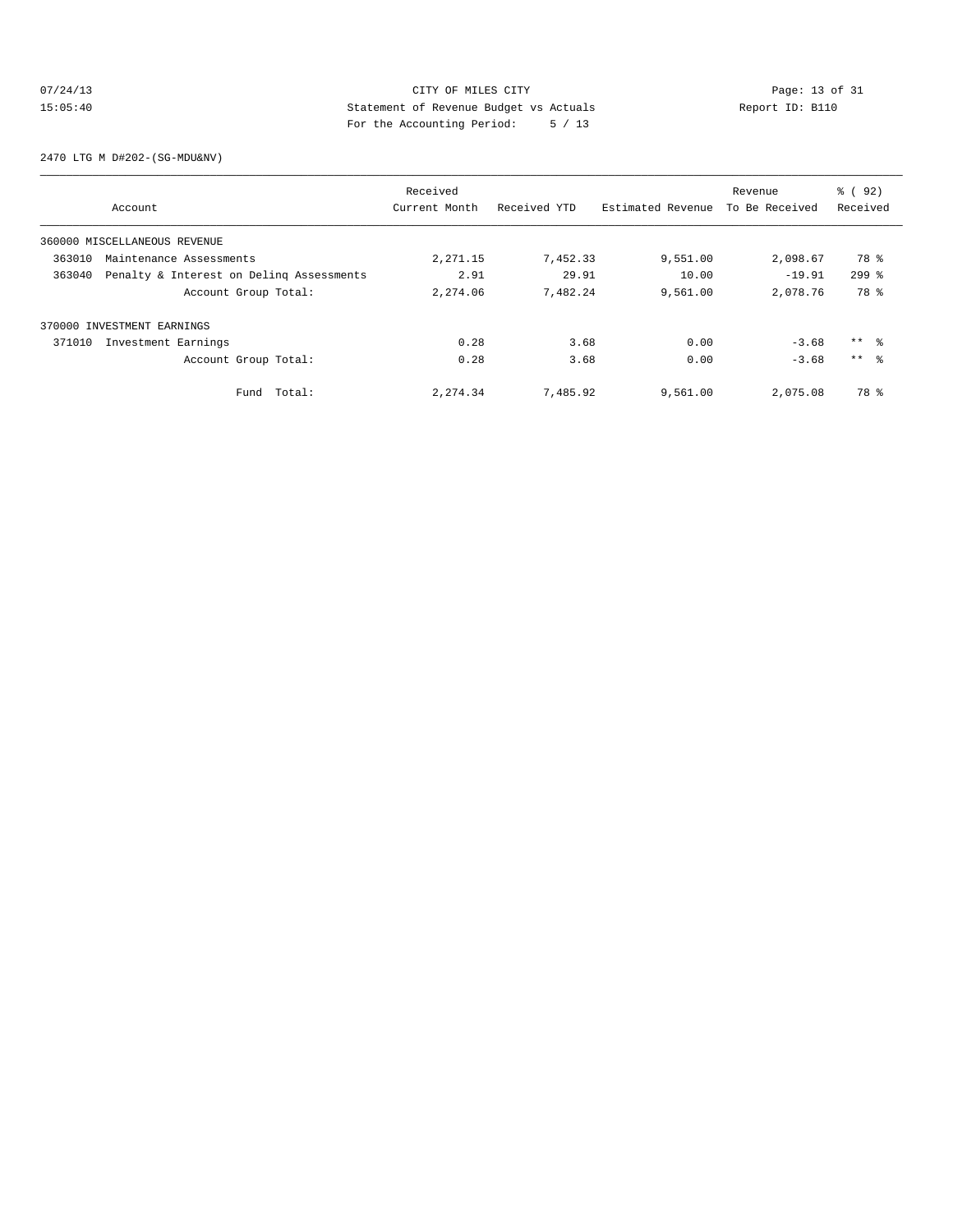## 07/24/13 Page: 13 of 31 15:05:40 Statement of Revenue Budget vs Actuals Report ID: B110<br>Report ID: B110 For the Accounting Period: 5 / 13

2470 LTG M D#202-(SG-MDU&NV)

|        |                                          | Received      |              |                   | Revenue        | % ( 92)         |
|--------|------------------------------------------|---------------|--------------|-------------------|----------------|-----------------|
|        | Account                                  | Current Month | Received YTD | Estimated Revenue | To Be Received | Received        |
|        | 360000 MISCELLANEOUS REVENUE             |               |              |                   |                |                 |
| 363010 | Maintenance Assessments                  | 2,271.15      | 7,452.33     | 9,551.00          | 2,098.67       | 78 %            |
| 363040 | Penalty & Interest on Deling Assessments | 2.91          | 29.91        | 10.00             | $-19.91$       | $299$ $%$       |
|        | Account Group Total:                     | 2,274.06      | 7,482.24     | 9,561.00          | 2,078.76       | 78 %            |
|        | 370000 INVESTMENT EARNINGS               |               |              |                   |                |                 |
| 371010 | Investment Earnings                      | 0.28          | 3.68         | 0.00              | $-3.68$        | $***$ $\approx$ |
|        | Account Group Total:                     | 0.28          | 3.68         | 0.00              | $-3.68$        | $***$ $\approx$ |
|        | Fund Total:                              | 2,274.34      | 7,485.92     | 9,561.00          | 2,075.08       | 78 %            |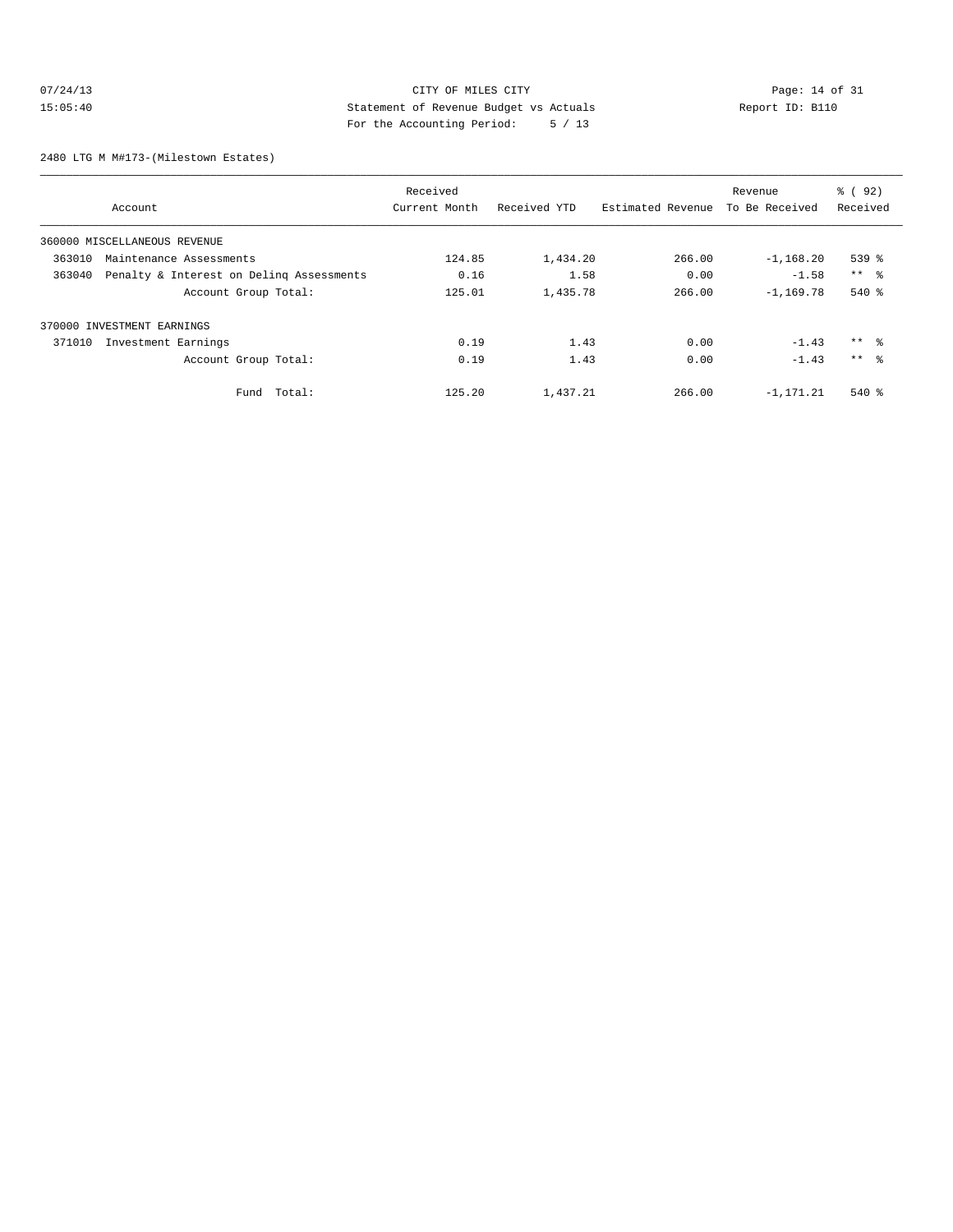## 07/24/13 CITY OF MILES CITY<br>15:05:40 Dege: 14 of 31<br>15:05:40 Deport ID: Bl10 15:05:40 Statement of Revenue Budget vs Actuals Report ID: B110 For the Accounting Period: 5 / 13

2480 LTG M M#173-(Milestown Estates)

|        |                                          | Received      |              |                   | Revenue        | % ( 92 )        |
|--------|------------------------------------------|---------------|--------------|-------------------|----------------|-----------------|
|        | Account                                  | Current Month | Received YTD | Estimated Revenue | To Be Received | Received        |
|        | 360000 MISCELLANEOUS REVENUE             |               |              |                   |                |                 |
| 363010 | Maintenance Assessments                  | 124.85        | 1,434.20     | 266.00            | $-1, 168.20$   | 539 %           |
| 363040 | Penalty & Interest on Deling Assessments | 0.16          | 1.58         | 0.00              | $-1.58$        | $***$ %         |
|        | Account Group Total:                     | 125.01        | 1,435.78     | 266.00            | $-1.169.78$    | $540*$          |
|        | 370000 INVESTMENT EARNINGS               |               |              |                   |                |                 |
| 371010 | Investment Earnings                      | 0.19          | 1.43         | 0.00              | $-1.43$        | ** %            |
|        | Account Group Total:                     | 0.19          | 1.43         | 0.00              | $-1.43$        | $***$ $\approx$ |
|        | Total:<br>Fund                           | 125.20        | 1,437.21     | 266.00            | $-1.171.21$    | $540*$          |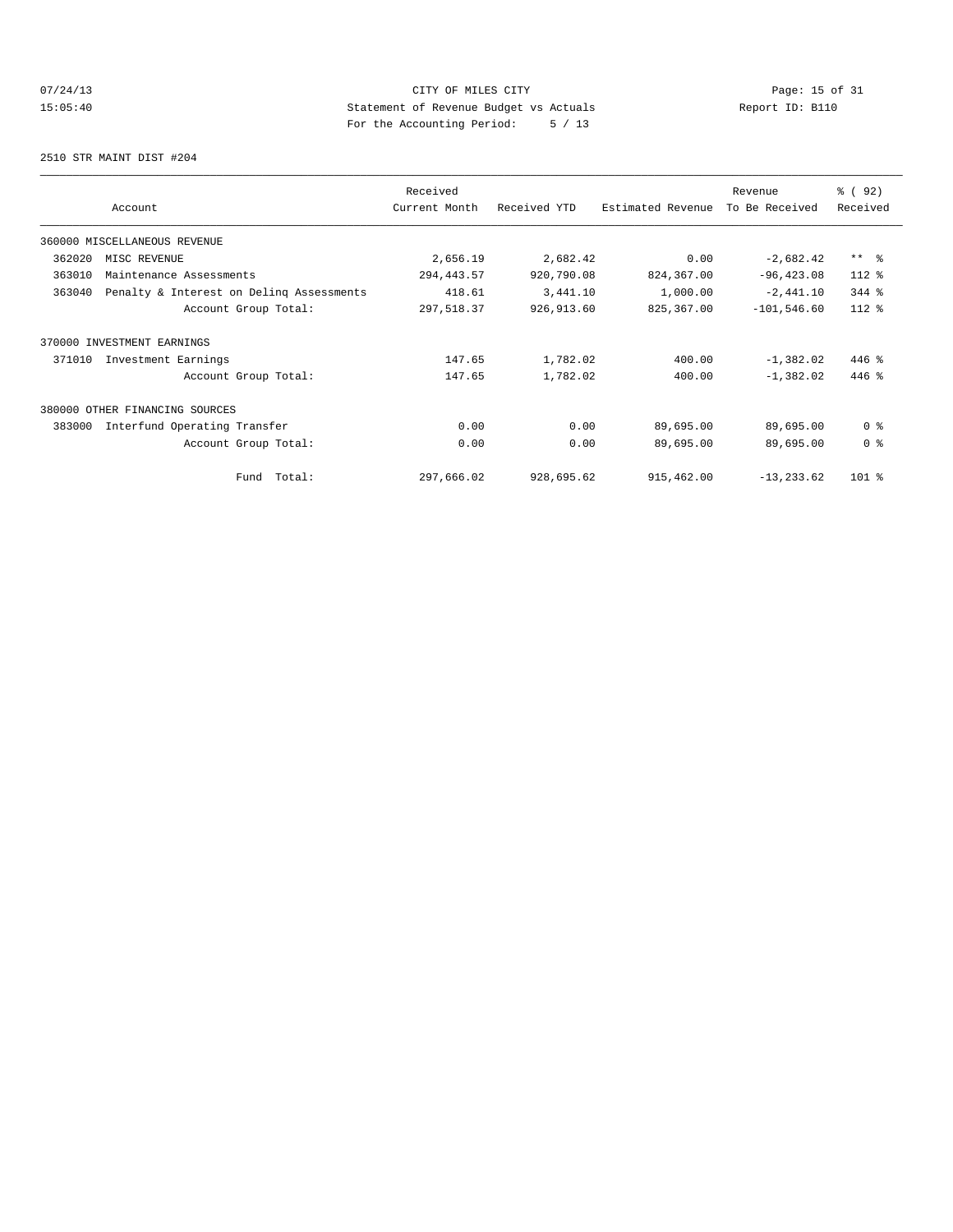## 07/24/13 Page: 15 of 31 15:05:40 Statement of Revenue Budget vs Actuals Report ID: B110 For the Accounting Period: 5 / 13

2510 STR MAINT DIST #204

|        |                                          | Received      |              | Revenue           |                | % ( 92 )       |
|--------|------------------------------------------|---------------|--------------|-------------------|----------------|----------------|
|        | Account                                  | Current Month | Received YTD | Estimated Revenue | To Be Received | Received       |
|        | 360000 MISCELLANEOUS REVENUE             |               |              |                   |                |                |
| 362020 | MISC REVENUE                             | 2,656.19      | 2,682.42     | 0.00              | $-2,682.42$    | $***$ $ -$     |
| 363010 | Maintenance Assessments                  | 294, 443.57   | 920,790.08   | 824,367.00        | $-96, 423.08$  | 112 %          |
| 363040 | Penalty & Interest on Deling Assessments | 418.61        | 3,441.10     | 1,000.00          | $-2,441.10$    | 344 %          |
|        | Account Group Total:                     | 297,518.37    | 926, 913.60  | 825,367.00        | $-101, 546.60$ | 112 %          |
|        | 370000 INVESTMENT EARNINGS               |               |              |                   |                |                |
| 371010 | Investment Earnings                      | 147.65        | 1,782.02     | 400.00            | $-1,382.02$    | $446$ %        |
|        | Account Group Total:                     | 147.65        | 1,782.02     | 400.00            | $-1,382.02$    | $446$ %        |
|        | 380000 OTHER FINANCING SOURCES           |               |              |                   |                |                |
| 383000 | Interfund Operating Transfer             | 0.00          | 0.00         | 89,695.00         | 89,695.00      | 0 <sup>8</sup> |
|        | Account Group Total:                     | 0.00          | 0.00         | 89,695.00         | 89,695.00      | 0 <sup>8</sup> |
|        | Fund Total:                              | 297,666.02    | 928,695.62   | 915,462.00        | $-13, 233.62$  | $101$ %        |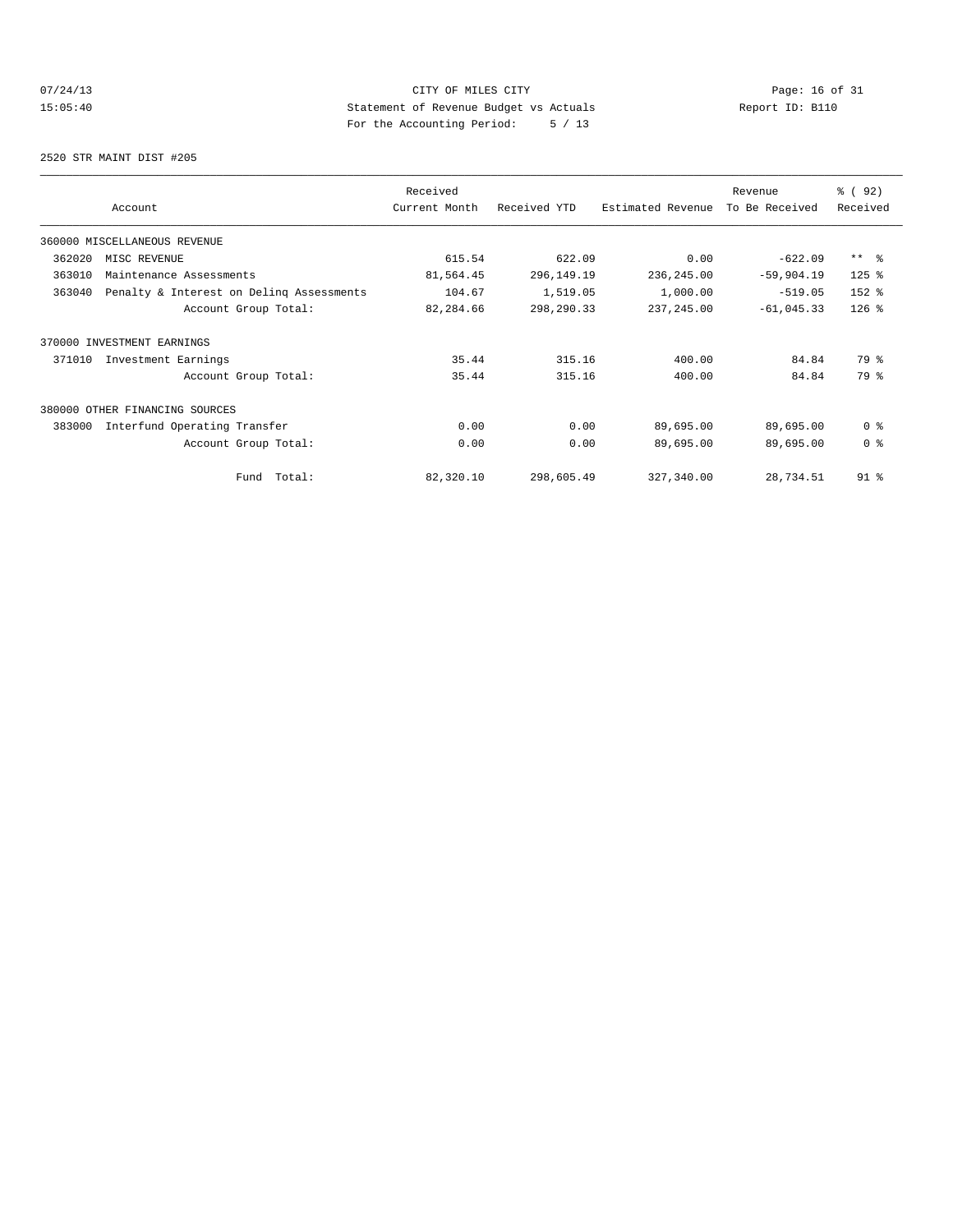## 07/24/13 Page: 16 of 31 15:05:40 Statement of Revenue Budget vs Actuals Report ID: B110 For the Accounting Period: 5 / 13

2520 STR MAINT DIST #205

|        | Account                                  | Received<br>Current Month | Received YTD | Estimated Revenue | Revenue<br>To Be Received | % ( 92 )<br>Received |
|--------|------------------------------------------|---------------------------|--------------|-------------------|---------------------------|----------------------|
|        |                                          |                           |              |                   |                           |                      |
|        | 360000 MISCELLANEOUS REVENUE             |                           |              |                   |                           |                      |
| 362020 | MISC REVENUE                             | 615.54                    | 622.09       | 0.00              | $-622.09$                 | $***$ $\approx$      |
| 363010 | Maintenance Assessments                  | 81,564.45                 | 296,149.19   | 236,245.00        | $-59,904.19$              | $125$ %              |
| 363040 | Penalty & Interest on Deling Assessments | 104.67                    | 1,519.05     | 1,000.00          | $-519.05$                 | 152 %                |
|        | Account Group Total:                     | 82,284.66                 | 298,290.33   | 237, 245.00       | $-61,045.33$              | $126$ %              |
|        | 370000 INVESTMENT EARNINGS               |                           |              |                   |                           |                      |
| 371010 | Investment Earnings                      | 35.44                     | 315.16       | 400.00            | 84.84                     | 79 %                 |
|        | Account Group Total:                     | 35.44                     | 315.16       | 400.00            | 84.84                     | 79 %                 |
|        | 380000 OTHER FINANCING SOURCES           |                           |              |                   |                           |                      |
| 383000 | Interfund Operating Transfer             | 0.00                      | 0.00         | 89,695.00         | 89,695.00                 | 0 <sup>8</sup>       |
|        | Account Group Total:                     | 0.00                      | 0.00         | 89,695.00         | 89,695.00                 | 0 <sup>8</sup>       |
|        | Total:<br>Fund                           | 82,320.10                 | 298,605.49   | 327,340.00        | 28,734.51                 | $91$ %               |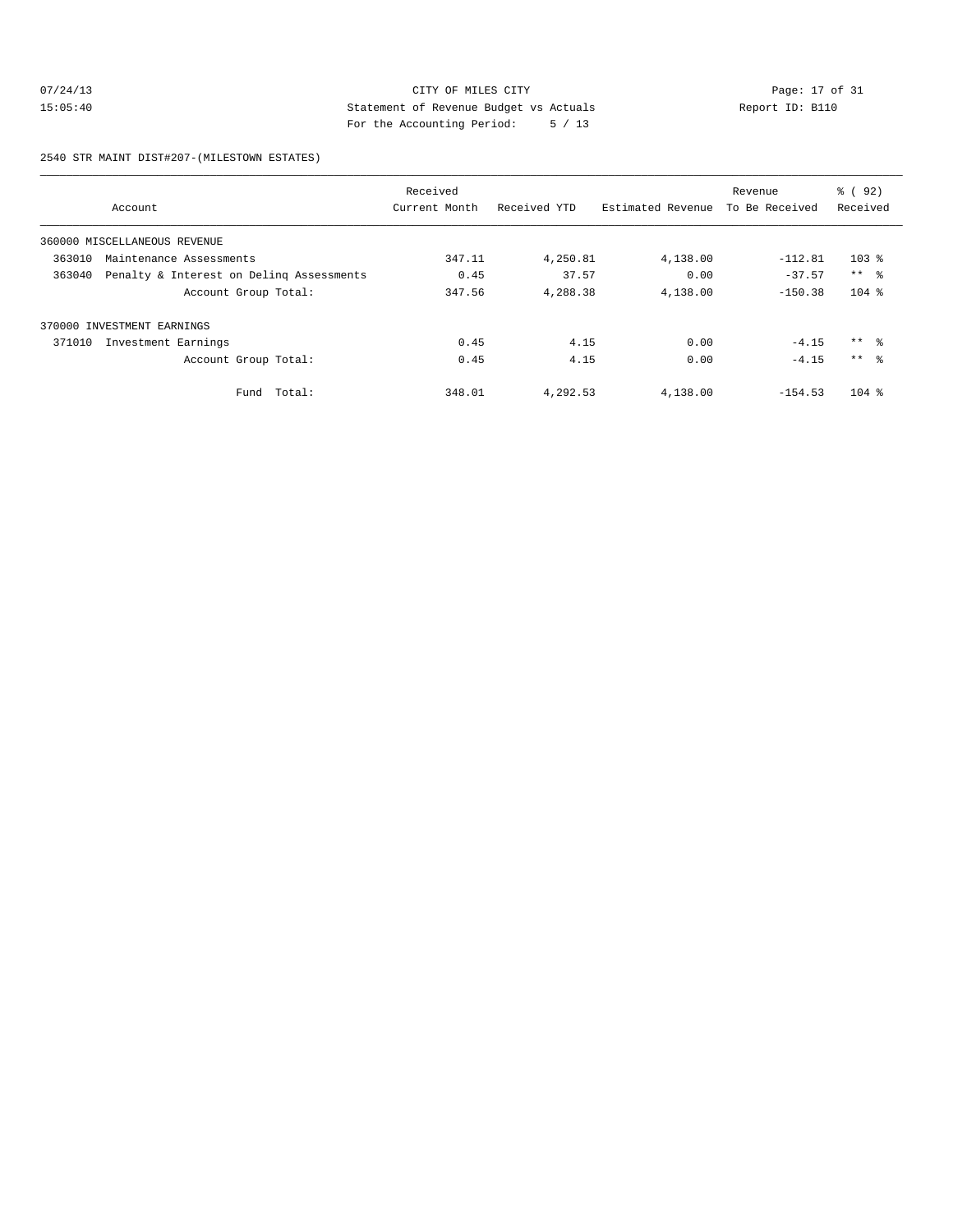## 07/24/13 CITY OF MILES CITY<br>15:05:40 Dege: 17 of 31<br>15:05:40 Dege: 18:05:40 Dege: 18:05:40 15:05:40 Statement of Revenue Budget vs Actuals Report ID: B110 For the Accounting Period: 5 / 13

2540 STR MAINT DIST#207-(MILESTOWN ESTATES)

|        |                                          | Received      |              |                   | Revenue        | % ( 92)         |
|--------|------------------------------------------|---------------|--------------|-------------------|----------------|-----------------|
|        | Account                                  | Current Month | Received YTD | Estimated Revenue | To Be Received | Received        |
|        | 360000 MISCELLANEOUS REVENUE             |               |              |                   |                |                 |
| 363010 | Maintenance Assessments                  | 347.11        | 4,250.81     | 4,138.00          | $-112.81$      | $103$ %         |
| 363040 | Penalty & Interest on Deling Assessments | 0.45          | 37.57        | 0.00              | $-37.57$       | $***$ $ -$      |
|        | Account Group Total:                     | 347.56        | 4,288.38     | 4,138.00          | $-150.38$      | $104$ %         |
| 370000 | INVESTMENT EARNINGS                      |               |              |                   |                |                 |
| 371010 | Investment Earnings                      | 0.45          | 4.15         | 0.00              | $-4.15$        | $***$ $ -$      |
|        | Account Group Total:                     | 0.45          | 4.15         | 0.00              | $-4.15$        | $***$ $\approx$ |
|        | Fund Total:                              | 348.01        | 4,292.53     | 4,138.00          | $-154.53$      | $104$ %         |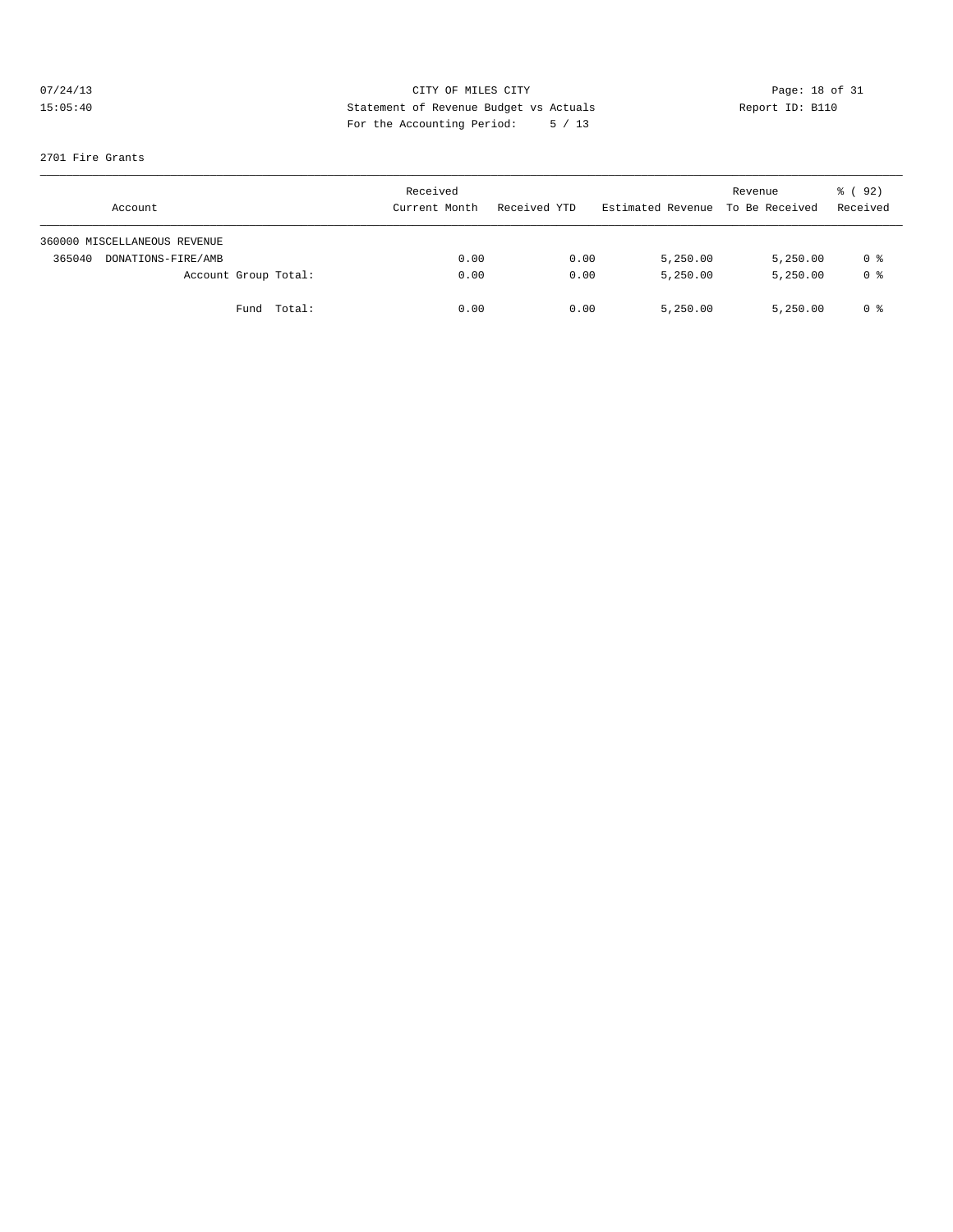# 07/24/13 CITY OF MILES CITY<br>15:05:40 Dege: 18 of 31<br>15:05:40 Deport ID: Bl10 15:05:40 Statement of Revenue Budget vs Actuals Report ID: B110 For the Accounting Period: 5 / 13

#### 2701 Fire Grants

| Account                      | Received<br>Current Month | Received YTD | Estimated Revenue | Revenue<br>To Be Received | $\frac{6}{6}$ (92)<br>Received |
|------------------------------|---------------------------|--------------|-------------------|---------------------------|--------------------------------|
| 360000 MISCELLANEOUS REVENUE |                           |              |                   |                           |                                |
| 365040<br>DONATIONS-FIRE/AMB | 0.00                      | 0.00         | 5,250.00          | 5,250.00                  | 0 %                            |
| Account Group Total:         | 0.00                      | 0.00         | 5.250.00          | 5,250.00                  | 0 <sup>8</sup>                 |
| Fund Total:                  | 0.00                      | 0.00         | 5,250.00          | 5,250.00                  | 0 %                            |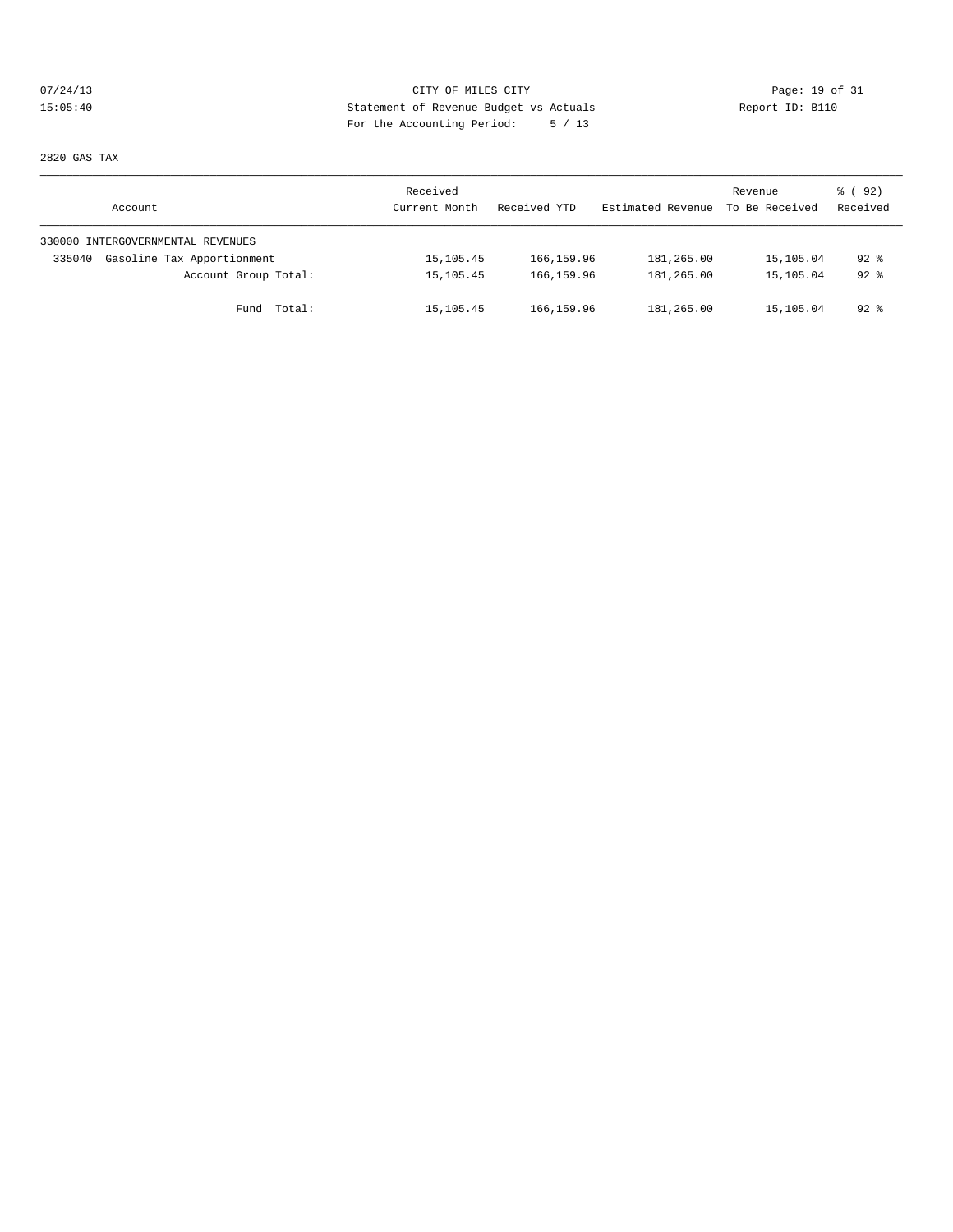## 07/24/13 Page: 19 of 31 15:05:40 Statement of Revenue Budget vs Actuals Report ID: B110 For the Accounting Period: 5 / 13

2820 GAS TAX

| Account                              | Received<br>Current Month | Received YTD | Estimated Revenue | Revenue<br>To Be Received | 8 (92)<br>Received |
|--------------------------------------|---------------------------|--------------|-------------------|---------------------------|--------------------|
| 330000 INTERGOVERNMENTAL REVENUES    |                           |              |                   |                           |                    |
| Gasoline Tax Apportionment<br>335040 | 15, 105.45                | 166, 159.96  | 181,265.00        | 15,105.04                 | $92$ $%$           |
| Account Group Total:                 | 15,105.45                 | 166, 159.96  | 181,265.00        | 15,105.04                 | $92$ $%$           |
| Fund Total:                          | 15,105.45                 | 166,159.96   | 181,265.00        | 15,105.04                 | 92 %               |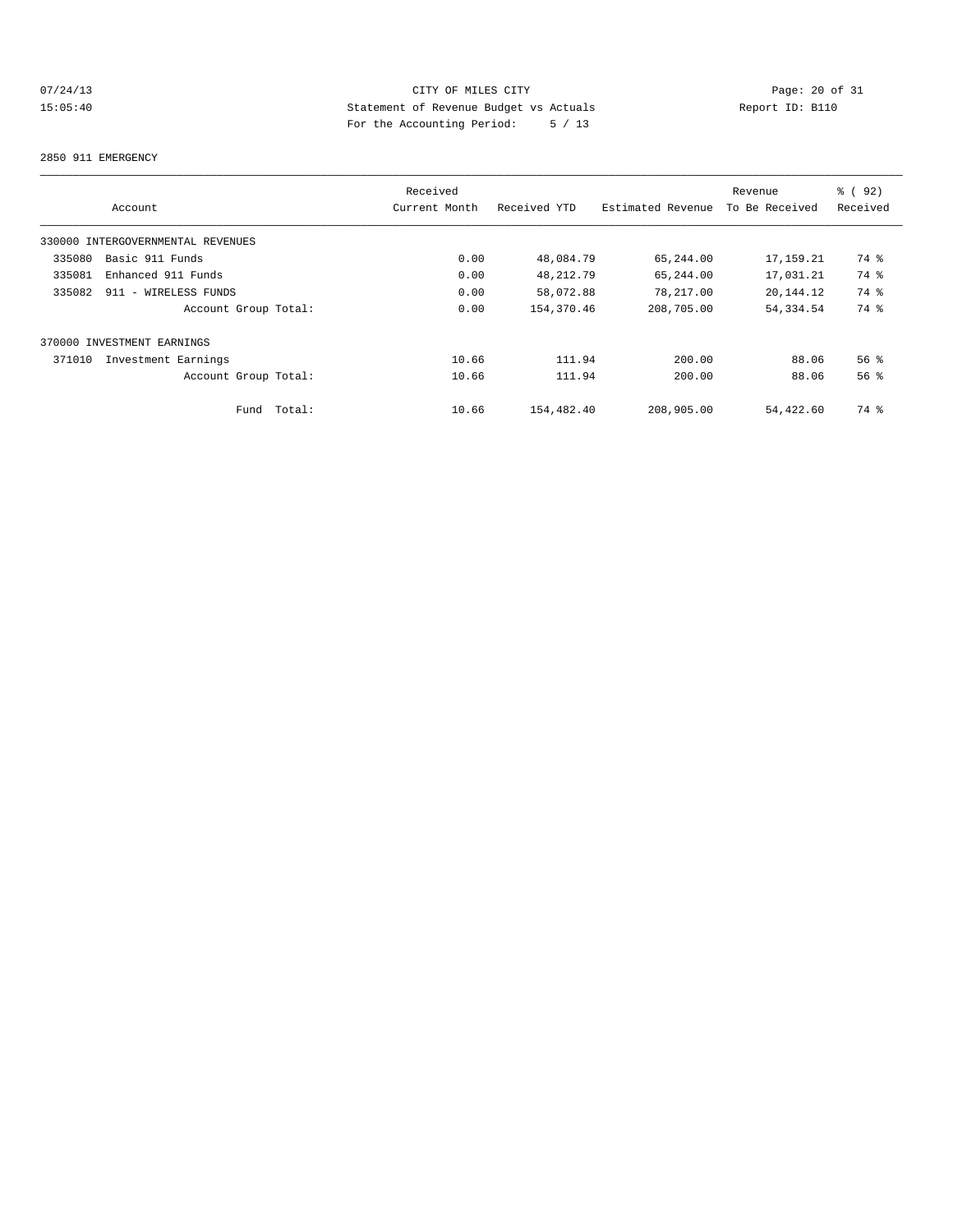## 07/24/13 Page: 20 of 31 15:05:40 Statement of Revenue Budget vs Actuals Report ID: B110 For the Accounting Period: 5 / 13

#### 2850 911 EMERGENCY

|                                   | Received      |              |                   | Revenue        | % ( 92 )        |
|-----------------------------------|---------------|--------------|-------------------|----------------|-----------------|
| Account                           | Current Month | Received YTD | Estimated Revenue | To Be Received | Received        |
| 330000 INTERGOVERNMENTAL REVENUES |               |              |                   |                |                 |
| Basic 911 Funds<br>335080         | 0.00          | 48,084.79    | 65,244.00         | 17,159.21      | 74 %            |
| 335081<br>Enhanced 911 Funds      | 0.00          | 48, 212.79   | 65,244.00         | 17,031.21      | 74 %            |
| 335082<br>911 - WIRELESS FUNDS    | 0.00          | 58,072.88    | 78,217.00         | 20,144.12      | 74 %            |
| Account Group Total:              | 0.00          | 154,370.46   | 208,705.00        | 54, 334.54     | 74 %            |
| 370000 INVESTMENT EARNINGS        |               |              |                   |                |                 |
| 371010<br>Investment Earnings     | 10.66         | 111.94       | 200.00            | 88.06          | 56 <sup>8</sup> |
| Account Group Total:              | 10.66         | 111.94       | 200.00            | 88.06          | 56 <sup>8</sup> |
| Total:<br>Fund                    | 10.66         | 154,482.40   | 208,905.00        | 54,422.60      | 74 %            |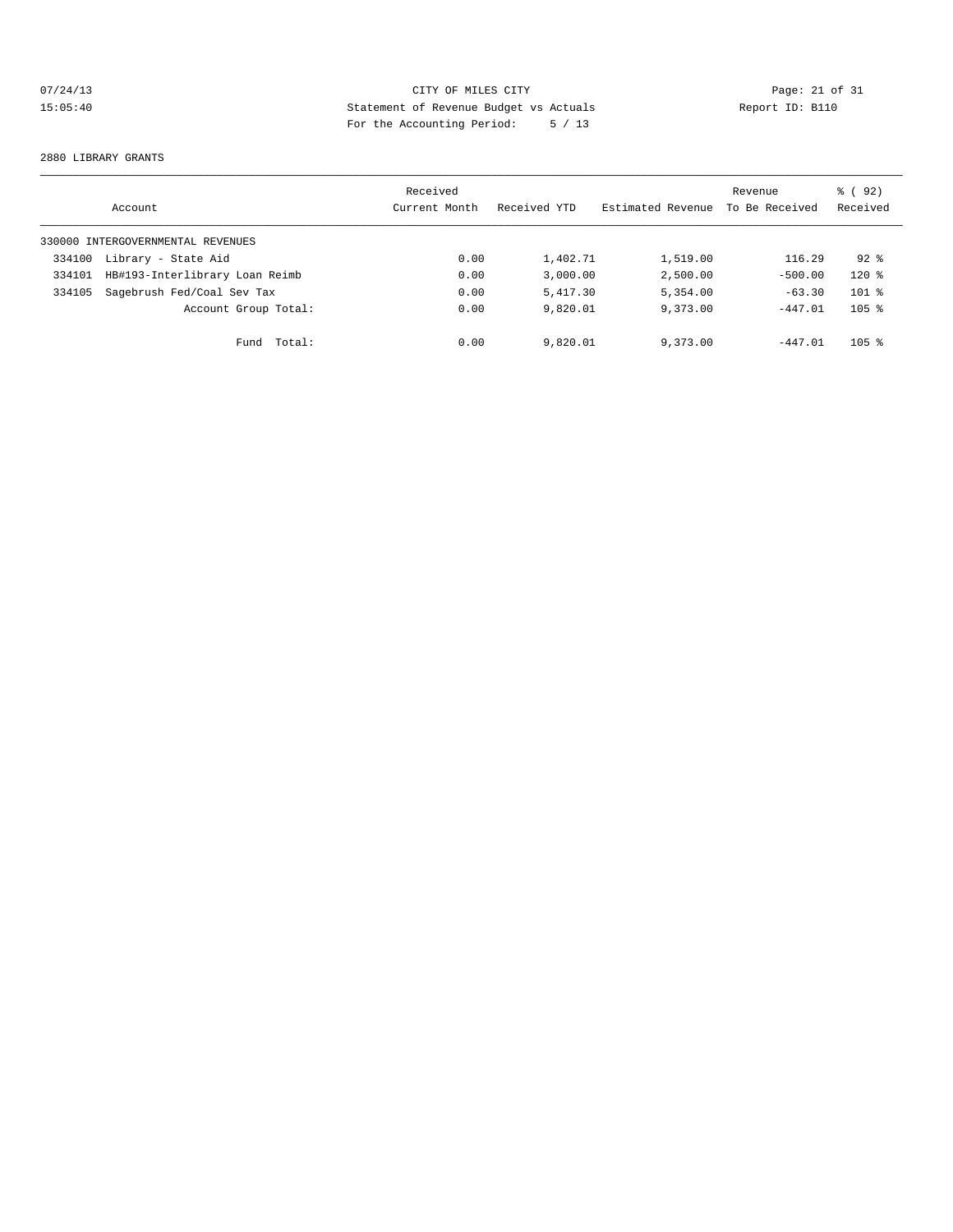## 07/24/13 CITY OF MILES CITY<br>15:05:40 Page: 21 of 31<br>15:05:40 Page: 21 of 31<br>15:05:40 Page: 21 of 31<br>15:05:40 Page: 21 of 31 15:05:40 Statement of Revenue Budget vs Actuals Report ID: B110 For the Accounting Period: 5 / 13

#### 2880 LIBRARY GRANTS

|        | Account                           | Received<br>Current Month | Received YTD | Estimated Revenue | Revenue<br>To Be Received | 8 (92)<br>Received |
|--------|-----------------------------------|---------------------------|--------------|-------------------|---------------------------|--------------------|
|        | 330000 INTERGOVERNMENTAL REVENUES |                           |              |                   |                           |                    |
| 334100 | Library - State Aid               | 0.00                      | 1,402.71     | 1,519.00          | 116.29                    | $92*$              |
| 334101 | HB#193-Interlibrary Loan Reimb    | 0.00                      | 3.000.00     | 2,500.00          | $-500.00$                 | $120*$             |
| 334105 | Sagebrush Fed/Coal Sev Tax        | 0.00                      | 5,417.30     | 5,354.00          | $-63.30$                  | $101$ %            |
|        | Account Group Total:              | 0.00                      | 9,820.01     | 9,373.00          | $-447.01$                 | $105$ %            |
|        | Total:<br>Fund                    | 0.00                      | 9,820.01     | 9,373.00          | $-447.01$                 | $105$ %            |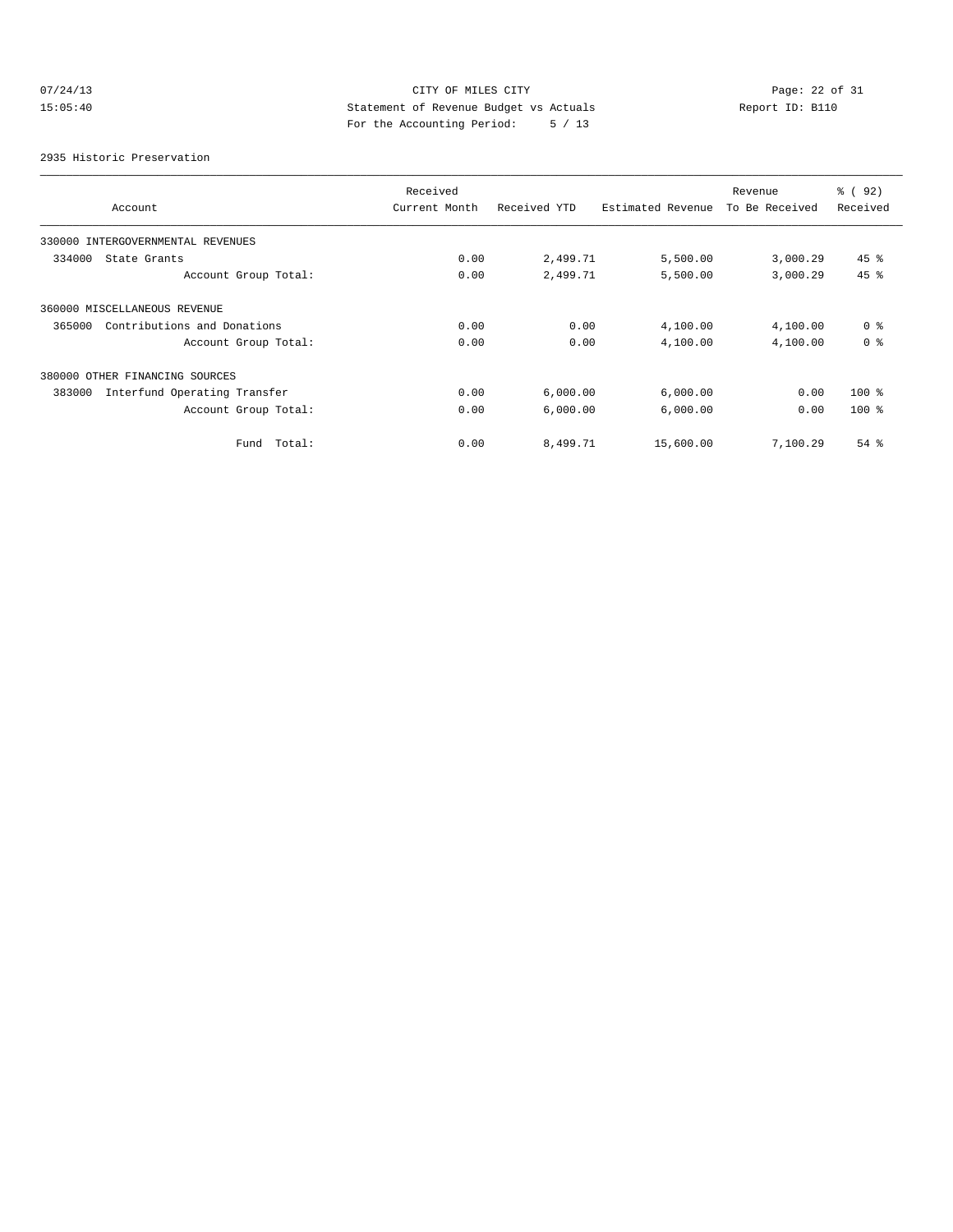# 07/24/13 CITY OF MILES CITY<br>15:05:40 Depert 10: Bl10<br>15:05:40 Depert the locality parties parties below the locality of the locality of the locality of the locality<br>15:05:40 Page: 22 of 31 15:05:40 Statement of Revenue Budget vs Actuals Report ID: B110 For the Accounting Period: 5 / 13

2935 Historic Preservation

|                                        | Received      |              |                   | Revenue        | % ( 92 )       |
|----------------------------------------|---------------|--------------|-------------------|----------------|----------------|
| Account                                | Current Month | Received YTD | Estimated Revenue | To Be Received | Received       |
| 330000 INTERGOVERNMENTAL REVENUES      |               |              |                   |                |                |
| 334000<br>State Grants                 | 0.00          | 2,499.71     | 5,500.00          | 3,000.29       | $45$ %         |
| Account Group Total:                   | 0.00          | 2,499.71     | 5,500.00          | 3,000.29       | 45 %           |
| 360000 MISCELLANEOUS REVENUE           |               |              |                   |                |                |
| Contributions and Donations<br>365000  | 0.00          | 0.00         | 4,100.00          | 4,100.00       | 0 <sup>8</sup> |
| Account Group Total:                   | 0.00          | 0.00         | 4,100.00          | 4,100.00       | 0 <sup>8</sup> |
| 380000 OTHER FINANCING SOURCES         |               |              |                   |                |                |
| Interfund Operating Transfer<br>383000 | 0.00          | 6,000.00     | 6,000.00          | 0.00           | $100*$         |
| Account Group Total:                   | 0.00          | 6,000.00     | 6,000.00          | 0.00           | $100*$         |
| Total:<br>Fund                         | 0.00          | 8,499.71     | 15,600.00         | 7,100.29       | $54$ %         |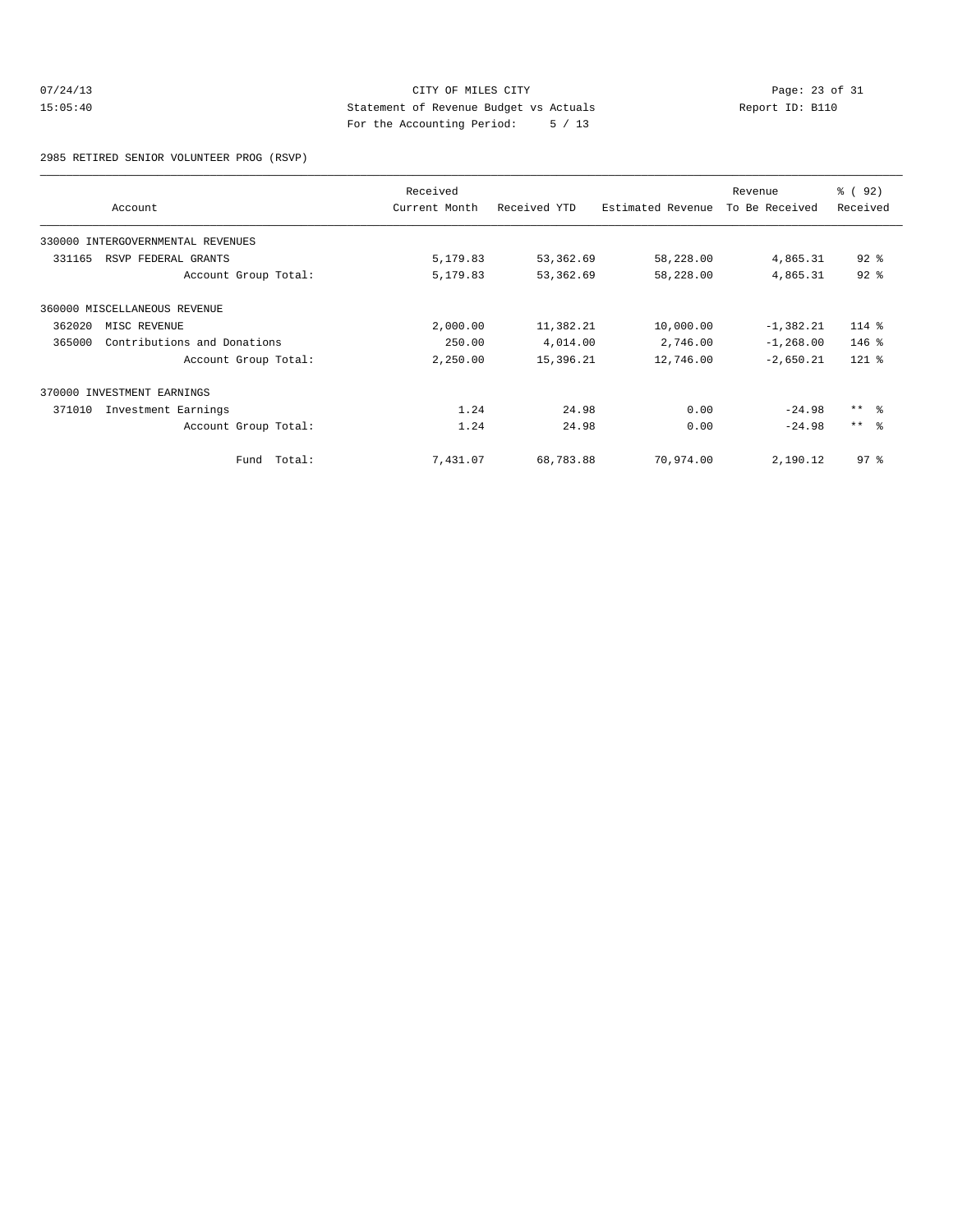## 07/24/13 CITY OF MILES CITY<br>15:05:40 Page: 23 of 31<br>25:05:40 Page: 23 of 31<br>25:05:40 Page: 23 of 31 15:05:40 Statement of Revenue Budget vs Actuals Report ID: B110 For the Accounting Period: 5 / 13

2985 RETIRED SENIOR VOLUNTEER PROG (RSVP)

|        | Account                      | Received<br>Current Month | Received YTD | Estimated Revenue | Revenue<br>To Be Received | % ( 92 )<br>Received |
|--------|------------------------------|---------------------------|--------------|-------------------|---------------------------|----------------------|
| 330000 | INTERGOVERNMENTAL REVENUES   |                           |              |                   |                           |                      |
| 331165 | RSVP FEDERAL GRANTS          | 5,179.83                  | 53,362.69    | 58,228.00         | 4,865.31                  | $92$ %               |
|        | Account Group Total:         | 5,179.83                  | 53,362.69    | 58,228.00         | 4,865.31                  | $92$ $%$             |
|        | 360000 MISCELLANEOUS REVENUE |                           |              |                   |                           |                      |
| 362020 | MISC REVENUE                 | 2,000.00                  | 11,382.21    | 10,000.00         | $-1,382.21$               | 114 %                |
| 365000 | Contributions and Donations  | 250.00                    | 4,014.00     | 2,746.00          | $-1, 268.00$              | $146$ %              |
|        | Account Group Total:         | 2,250.00                  | 15,396.21    | 12,746.00         | $-2,650.21$               | $121$ %              |
|        | 370000 INVESTMENT EARNINGS   |                           |              |                   |                           |                      |
| 371010 | Investment Earnings          | 1.24                      | 24.98        | 0.00              | $-24.98$                  | $***$ $\frac{6}{5}$  |
|        | Account Group Total:         | 1.24                      | 24.98        | 0.00              | $-24.98$                  | $***$ $ -$           |
|        | Fund Total:                  | 7,431.07                  | 68,783.88    | 70,974.00         | 2,190.12                  | 97 <sup>8</sup>      |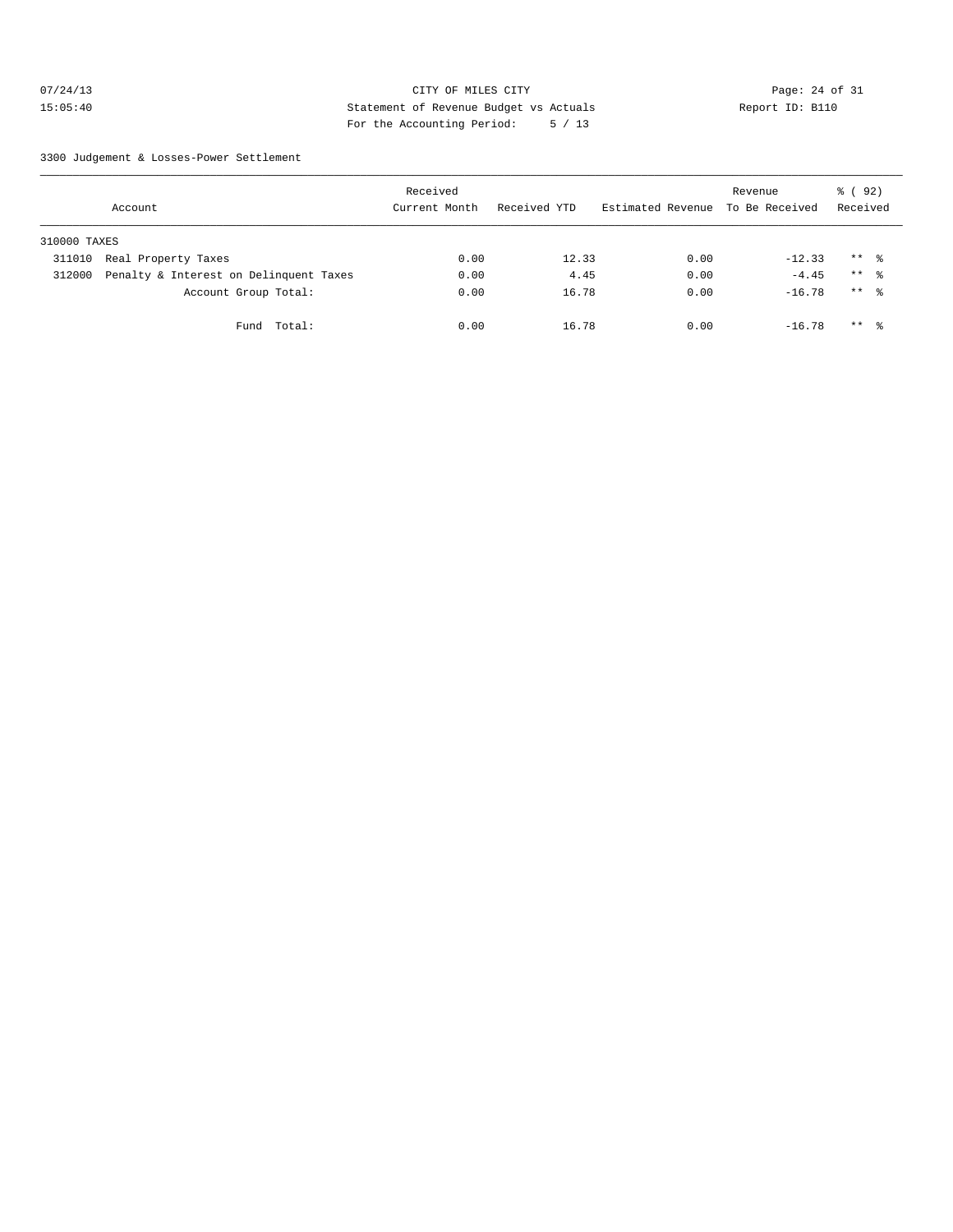## 07/24/13 Page: 24 of 31 15:05:40 Statement of Revenue Budget vs Actuals Report ID: B110 For the Accounting Period: 5 / 13

3300 Judgement & Losses-Power Settlement

|              | Account                                | Received<br>Current Month | Received YTD | Estimated Revenue | Revenue<br>To Be Received | 8 ( 92 )<br>Received |  |
|--------------|----------------------------------------|---------------------------|--------------|-------------------|---------------------------|----------------------|--|
| 310000 TAXES |                                        |                           |              |                   |                           |                      |  |
| 311010       | Real Property Taxes                    | 0.00                      | 12.33        | 0.00              | $-12.33$                  | $***$ %              |  |
| 312000       | Penalty & Interest on Delinquent Taxes | 0.00                      | 4.45         | 0.00              | $-4.45$                   | $***$ $\approx$      |  |
|              | Account Group Total:                   | 0.00                      | 16.78        | 0.00              | $-16.78$                  | $***$ $\frac{6}{6}$  |  |
|              | Total:<br>Fund                         | 0.00                      | 16.78        | 0.00              | $-16.78$                  | $***$ $\frac{6}{5}$  |  |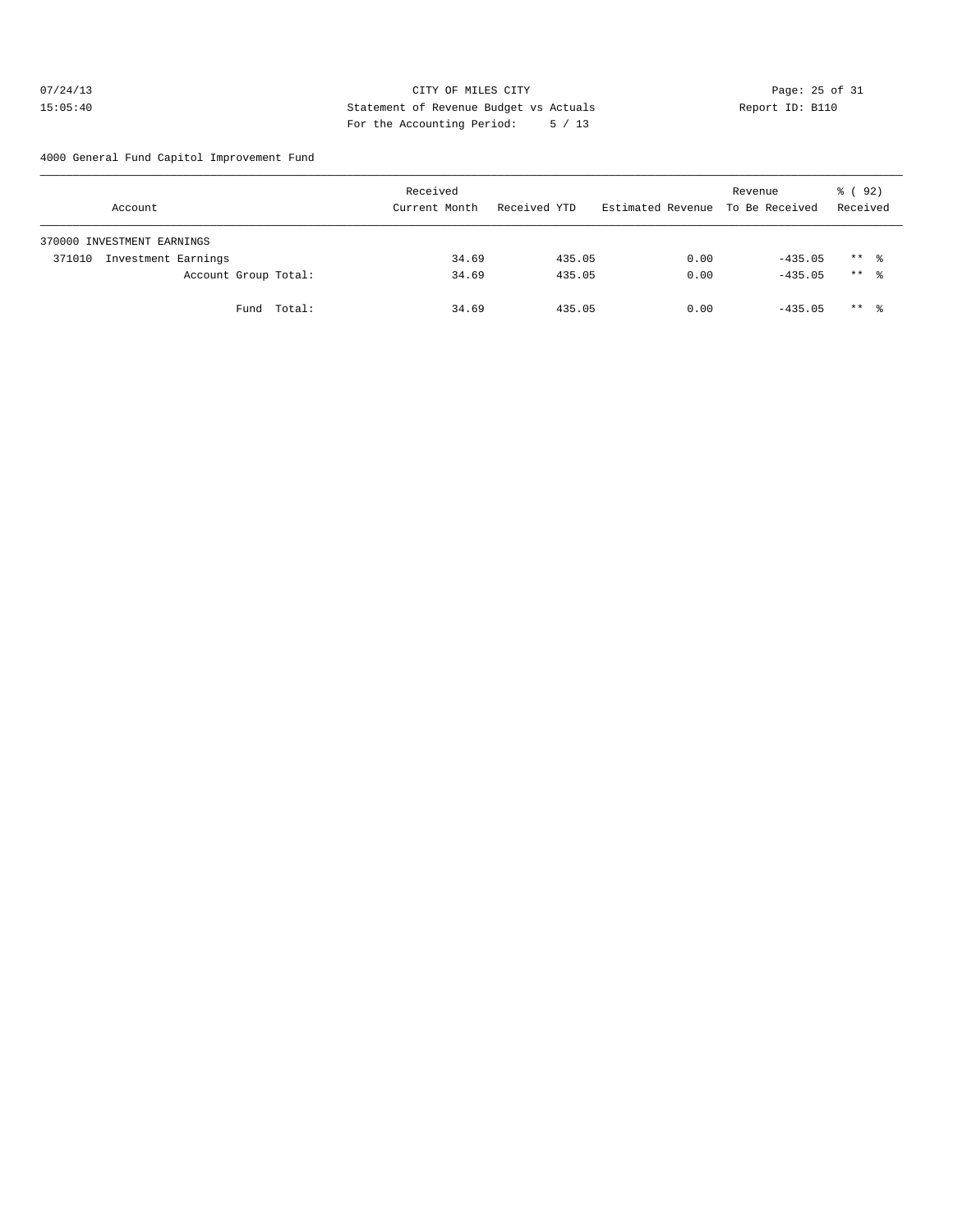## 07/24/13 Page: 25 of 31 15:05:40 Statement of Revenue Budget vs Actuals Report ID: B110 For the Accounting Period: 5 / 13

4000 General Fund Capitol Improvement Fund

|        | Account                    |             | Received<br>Current Month |       | Received YTD |        |      | Revenue<br>Estimated Revenue To Be Received | % ( 92 )<br>Received |                     |
|--------|----------------------------|-------------|---------------------------|-------|--------------|--------|------|---------------------------------------------|----------------------|---------------------|
|        | 370000 INVESTMENT EARNINGS |             |                           |       |              |        |      |                                             |                      |                     |
| 371010 | Investment Earnings        |             |                           | 34.69 |              | 435.05 | 0.00 | $-435.05$                                   |                      | $***$ $\frac{6}{3}$ |
|        | Account Group Total:       |             |                           | 34.69 |              | 435.05 | 0.00 | $-435.05$                                   |                      | $***$ 8             |
|        |                            | Fund Total: |                           | 34.69 |              | 435.05 | 0.00 | $-435.05$                                   |                      | $***$ %             |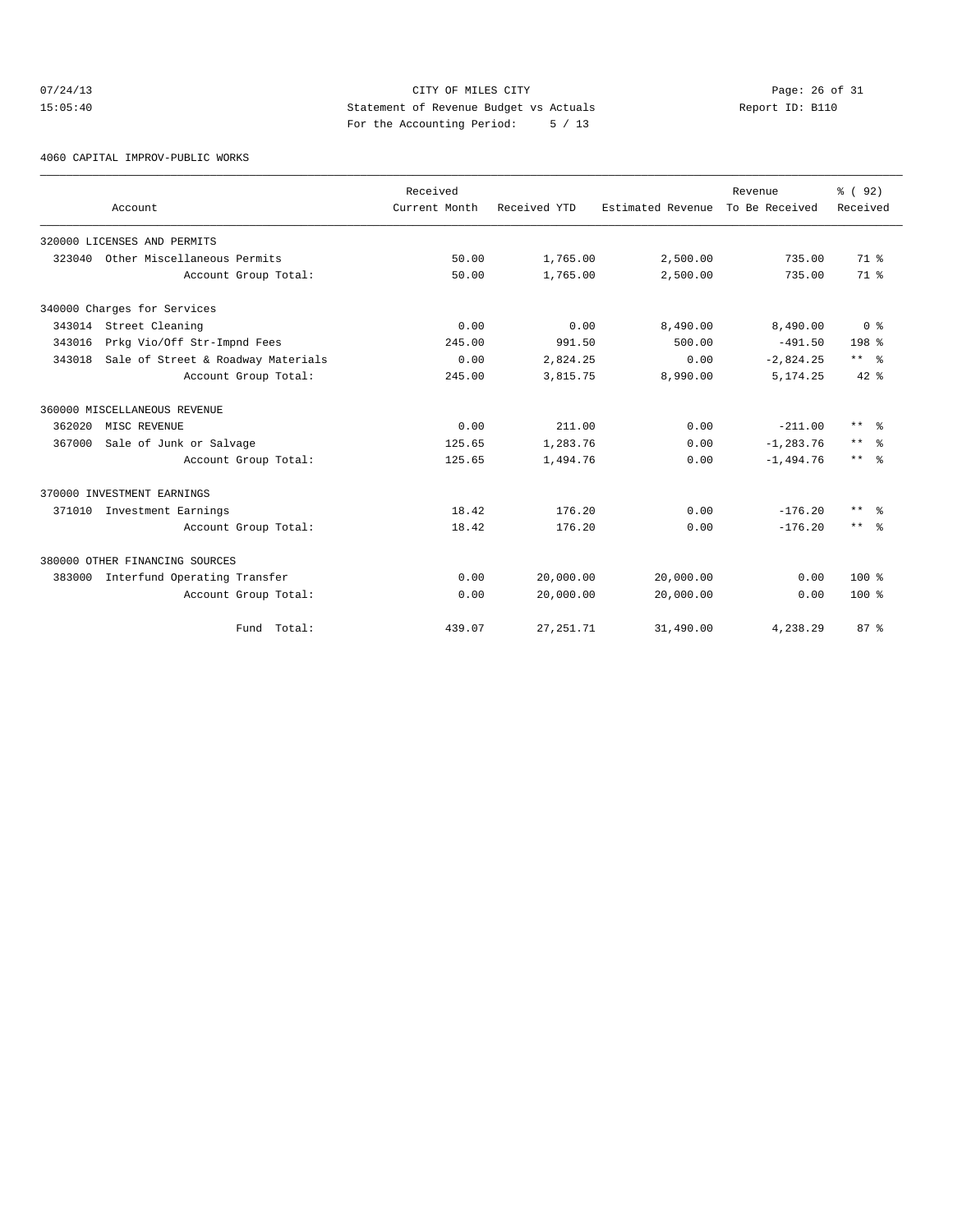## $O7/24/13$  Page: 26 of 31 15:05:40 Statement of Revenue Budget vs Actuals Report ID: B110 For the Accounting Period: 5 / 13

4060 CAPITAL IMPROV-PUBLIC WORKS

|        | Account                            | Received<br>Current Month | Received YTD | Estimated Revenue | Revenue<br>To Be Received | % (92)<br>Received  |
|--------|------------------------------------|---------------------------|--------------|-------------------|---------------------------|---------------------|
|        | 320000 LICENSES AND PERMITS        |                           |              |                   |                           |                     |
| 323040 | Other Miscellaneous Permits        | 50.00                     | 1,765.00     | 2,500.00          | 735.00                    | 71.8                |
|        | Account Group Total:               | 50.00                     | 1,765.00     | 2,500.00          | 735.00                    | 71 <sup>8</sup>     |
|        | 340000 Charges for Services        |                           |              |                   |                           |                     |
|        | 343014 Street Cleaning             | 0.00                      | 0.00         | 8,490.00          | 8,490.00                  | 0 <sup>8</sup>      |
| 343016 | Prkg Vio/Off Str-Impnd Fees        | 245.00                    | 991.50       | 500.00            | $-491.50$                 | 198 <sup>8</sup>    |
| 343018 | Sale of Street & Roadway Materials | 0.00                      | 2,824.25     | 0.00              | $-2,824.25$               | $***$ $ -$          |
|        | Account Group Total:               | 245.00                    | 3,815.75     | 8,990.00          | 5, 174.25                 | $42*$               |
|        | 360000 MISCELLANEOUS REVENUE       |                           |              |                   |                           |                     |
| 362020 | MISC REVENUE                       | 0.00                      | 211.00       | 0.00              | $-211.00$                 | $***$ $\approx$     |
| 367000 | Sale of Junk or Salvage            | 125.65                    | 1,283.76     | 0.00              | $-1, 283.76$              | $***$ $\approx$     |
|        | Account Group Total:               | 125.65                    | 1,494.76     | 0.00              | $-1,494.76$               | $***$ $\frac{6}{6}$ |
|        | 370000 INVESTMENT EARNINGS         |                           |              |                   |                           |                     |
|        | 371010 Investment Earnings         | 18.42                     | 176.20       | 0.00              | $-176.20$                 | $***$<br>- 옹        |
|        | Account Group Total:               | 18.42                     | 176.20       | 0.00              | $-176.20$                 | $***$ $\approx$     |
|        | 380000 OTHER FINANCING SOURCES     |                           |              |                   |                           |                     |
| 383000 | Interfund Operating Transfer       | 0.00                      | 20,000.00    | 20,000.00         | 0.00                      | $100*$              |
|        | Account Group Total:               | 0.00                      | 20,000.00    | 20,000.00         | 0.00                      | $100*$              |
|        | Fund Total:                        | 439.07                    | 27, 251.71   | 31,490.00         | 4,238.29                  | 87%                 |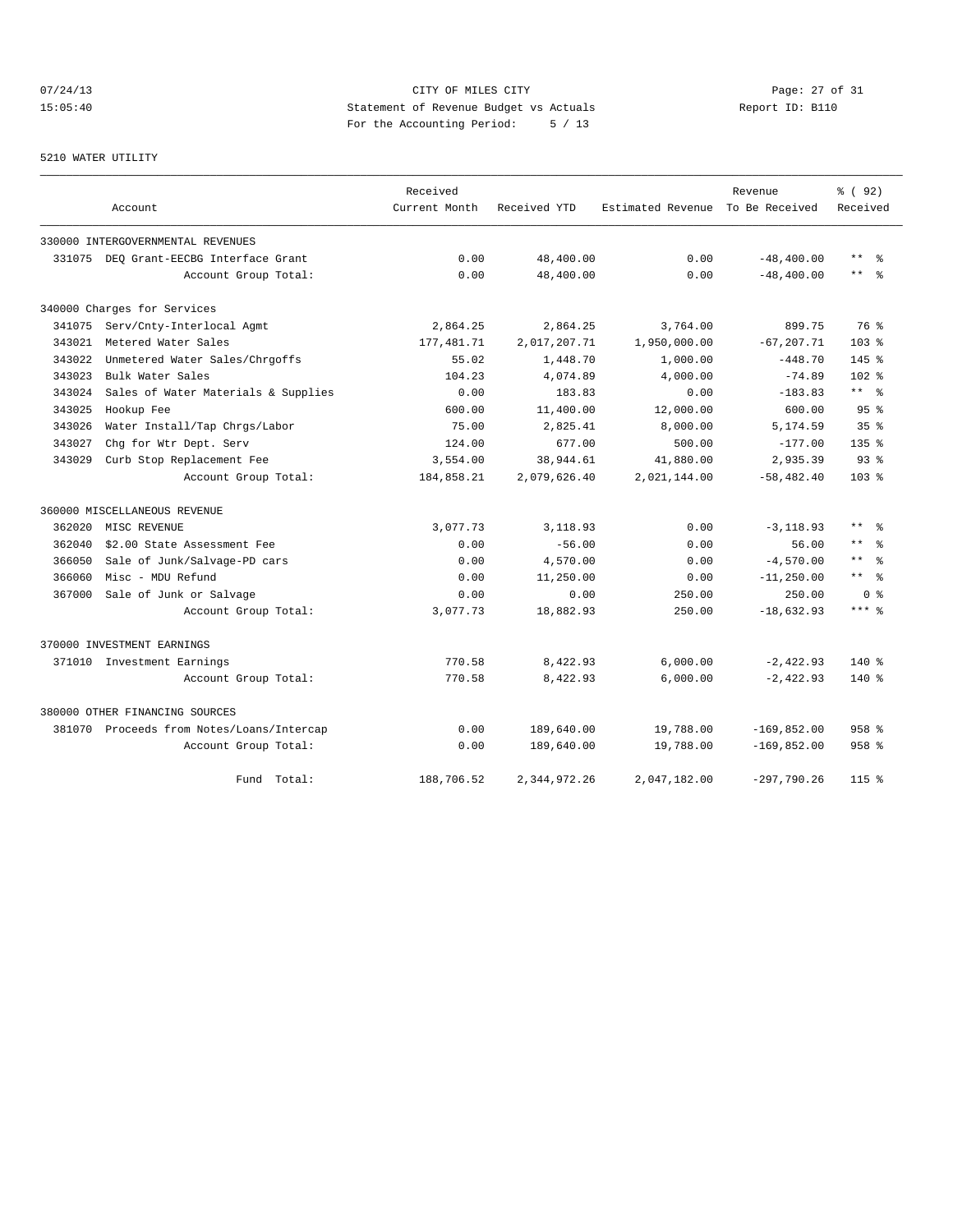# 07/24/13 Page: 27 of 31 15:05:40 Statement of Revenue Budget vs Actuals Report ID: B110 For the Accounting Period: 5 / 13

#### 5210 WATER UTILITY

|        |                                           | Received      |              |                   | Revenue        | % ( 92 )                     |
|--------|-------------------------------------------|---------------|--------------|-------------------|----------------|------------------------------|
|        | Account                                   | Current Month | Received YTD | Estimated Revenue | To Be Received | Received                     |
|        | 330000 INTERGOVERNMENTAL REVENUES         |               |              |                   |                |                              |
| 331075 | DEQ Grant-EECBG Interface Grant           | 0.00          | 48,400.00    | 0.00              | $-48, 400.00$  | $\star\star$<br>ু ⊱          |
|        | Account Group Total:                      | 0.00          | 48,400.00    | 0.00              | $-48, 400.00$  | $***$<br>- 옹                 |
|        | 340000 Charges for Services               |               |              |                   |                |                              |
| 341075 | Serv/Cnty-Interlocal Agmt                 | 2,864.25      | 2,864.25     | 3,764.00          | 899.75         | 76 %                         |
| 343021 | Metered Water Sales                       | 177, 481.71   | 2,017,207.71 | 1,950,000.00      | $-67, 207.71$  | $103*$                       |
| 343022 | Unmetered Water Sales/Chrgoffs            | 55.02         | 1,448.70     | 1,000.00          | $-448.70$      | 145 %                        |
| 343023 | Bulk Water Sales                          | 104.23        | 4,074.89     | 4,000.00          | $-74.89$       | $102$ %                      |
| 343024 | Sales of Water Materials & Supplies       | 0.00          | 183.83       | 0.00              | $-183.83$      | $***$ $%$                    |
| 343025 | Hookup Fee                                | 600.00        | 11,400.00    | 12,000.00         | 600.00         | 95 <sup>8</sup>              |
| 343026 | Water Install/Tap Chrgs/Labor             | 75.00         | 2,825.41     | 8,000.00          | 5,174.59       | 35 <sup>8</sup>              |
| 343027 | Chg for Wtr Dept. Serv                    | 124.00        | 677.00       | 500.00            | $-177.00$      | 135 <sub>8</sub>             |
| 343029 | Curb Stop Replacement Fee                 | 3,554.00      | 38,944.61    | 41,880.00         | 2,935.39       | $93$ $%$                     |
|        | Account Group Total:                      | 184,858.21    | 2,079,626.40 | 2,021,144.00      | $-58, 482.40$  | $103*$                       |
|        | 360000 MISCELLANEOUS REVENUE              |               |              |                   |                |                              |
| 362020 | MISC REVENUE                              | 3,077.73      | 3,118.93     | 0.00              | $-3, 118.93$   | $***$<br>ু ≳                 |
| 362040 | \$2.00 State Assessment Fee               | 0.00          | $-56.00$     | 0.00              | 56.00          | $\star\star$                 |
| 366050 | Sale of Junk/Salvage-PD cars              | 0.00          | 4,570.00     | 0.00              | $-4,570.00$    | $\star$ $\star$<br>$\approx$ |
| 366060 | Misc - MDU Refund                         | 0.00          | 11,250.00    | 0.00              | $-11, 250.00$  | $***$ %                      |
| 367000 | Sale of Junk or Salvage                   | 0.00          | 0.00         | 250.00            | 250.00         | 0 %                          |
|        | Account Group Total:                      | 3,077.73      | 18,882.93    | 250.00            | $-18,632.93$   | $***$ $%$                    |
|        | 370000 INVESTMENT EARNINGS                |               |              |                   |                |                              |
|        | 371010 Investment Earnings                | 770.58        | 8,422.93     | 6,000.00          | $-2,422.93$    | $140*$                       |
|        | Account Group Total:                      | 770.58        | 8,422.93     | 6,000.00          | $-2,422.93$    | $140*$                       |
|        | 380000 OTHER FINANCING SOURCES            |               |              |                   |                |                              |
|        | 381070 Proceeds from Notes/Loans/Intercap | 0.00          | 189,640.00   | 19,788.00         | $-169,852.00$  | $958$ %                      |
|        | Account Group Total:                      | 0.00          | 189,640.00   | 19,788.00         | $-169,852.00$  | $958$ %                      |
|        | Fund Total:                               | 188,706.52    | 2,344,972.26 | 2,047,182.00      | $-297,790.26$  | $115$ %                      |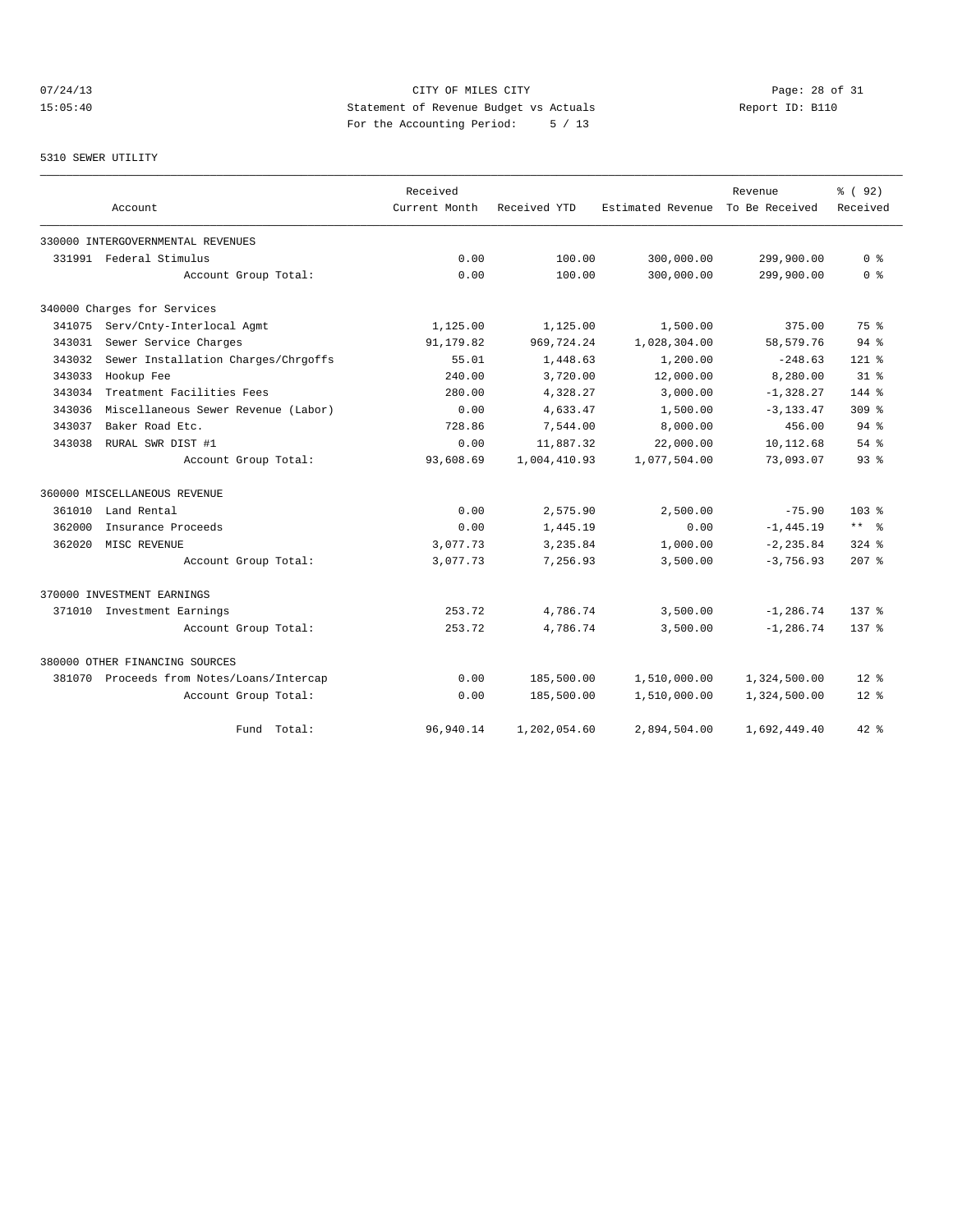## 07/24/13 Page: 28 of 31 15:05:40 Statement of Revenue Budget vs Actuals Report ID: B110 For the Accounting Period: 5 / 13

#### 5310 SEWER UTILITY

|        |                                           | Received      |              |                                  | Revenue       | % ( 92)          |
|--------|-------------------------------------------|---------------|--------------|----------------------------------|---------------|------------------|
|        | Account                                   | Current Month | Received YTD | Estimated Revenue To Be Received |               | Received         |
|        | 330000 INTERGOVERNMENTAL REVENUES         |               |              |                                  |               |                  |
|        | 331991 Federal Stimulus                   | 0.00          | 100.00       | 300,000.00                       | 299,900.00    | 0 <sup>8</sup>   |
|        | Account Group Total:                      | 0.00          | 100.00       | 300,000.00                       | 299,900.00    | 0 <sup>8</sup>   |
|        | 340000 Charges for Services               |               |              |                                  |               |                  |
| 341075 | Serv/Cnty-Interlocal Agmt                 | 1,125.00      | 1,125.00     | 1,500.00                         | 375.00        | 75 %             |
| 343031 | Sewer Service Charges                     | 91,179.82     | 969,724.24   | 1,028,304.00                     | 58, 579. 76   | 94%              |
| 343032 | Sewer Installation Charges/Chrgoffs       | 55.01         | 1,448.63     | 1,200.00                         | $-248.63$     | $121*$           |
| 343033 | Hookup Fee                                | 240.00        | 3,720.00     | 12,000.00                        | 8,280.00      | 318              |
| 343034 | Treatment Facilities Fees                 | 280.00        | 4,328.27     | 3,000.00                         | $-1,328.27$   | 144 %            |
| 343036 | Miscellaneous Sewer Revenue (Labor)       | 0.00          | 4,633.47     | 1,500.00                         | $-3, 133, 47$ | 309 <sub>8</sub> |
| 343037 | Baker Road Etc.                           | 728.86        | 7,544.00     | 8,000.00                         | 456.00        | 94%              |
| 343038 | RURAL SWR DIST #1                         | 0.00          | 11,887.32    | 22,000.00                        | 10,112.68     | 54%              |
|        | Account Group Total:                      | 93,608.69     | 1,004,410.93 | 1,077,504.00                     | 73,093.07     | 93 <sup>8</sup>  |
|        | 360000 MISCELLANEOUS REVENUE              |               |              |                                  |               |                  |
| 361010 | Land Rental                               | 0.00          | 2,575.90     | 2,500.00                         | $-75.90$      | $103*$           |
| 362000 | Insurance Proceeds                        | 0.00          | 1,445.19     | 0.00                             | $-1, 445.19$  | $***$ %          |
| 362020 | MISC REVENUE                              | 3,077.73      | 3,235.84     | 1,000.00                         | $-2, 235.84$  | $324$ $%$        |
|        | Account Group Total:                      | 3,077.73      | 7,256.93     | 3,500.00                         | $-3,756.93$   | $207$ %          |
|        | 370000 INVESTMENT EARNINGS                |               |              |                                  |               |                  |
|        | 371010 Investment Earnings                | 253.72        | 4,786.74     | 3,500.00                         | $-1, 286.74$  | $137*$           |
|        | Account Group Total:                      | 253.72        | 4,786.74     | 3,500.00                         | $-1, 286.74$  | $137*$           |
|        | 380000 OTHER FINANCING SOURCES            |               |              |                                  |               |                  |
|        | 381070 Proceeds from Notes/Loans/Intercap | 0.00          | 185,500.00   | 1,510,000.00                     | 1,324,500.00  | $12*$            |
|        | Account Group Total:                      | 0.00          | 185,500.00   | 1,510,000.00                     | 1,324,500.00  | $12*$            |
|        | Total:<br>Fund                            | 96,940.14     | 1,202,054.60 | 2,894,504.00                     | 1,692,449.40  | $42*$            |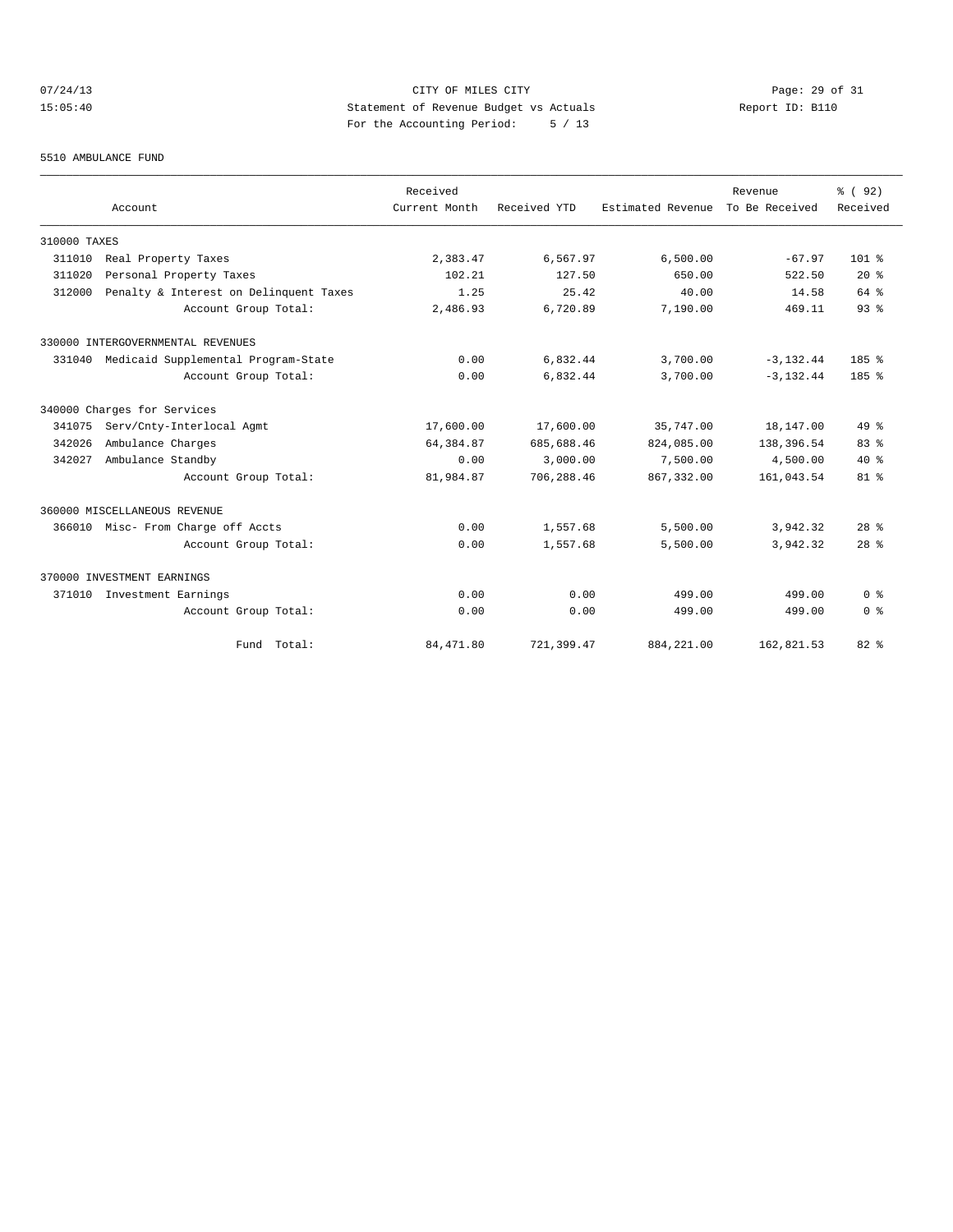## 07/24/13 Page: 29 of 31 15:05:40 Statement of Revenue Budget vs Actuals Report ID: B110 For the Accounting Period: 5 / 13

#### 5510 AMBULANCE FUND

|              |                                        | Received      |              |                                  | Revenue      | % (92)                             |
|--------------|----------------------------------------|---------------|--------------|----------------------------------|--------------|------------------------------------|
|              | Account                                | Current Month | Received YTD | Estimated Revenue To Be Received |              | Received                           |
| 310000 TAXES |                                        |               |              |                                  |              |                                    |
| 311010       | Real Property Taxes                    | 2,383.47      | 6,567.97     | 6,500.00                         | $-67.97$     | $101$ %                            |
| 311020       | Personal Property Taxes                | 102.21        | 127.50       | 650.00                           | 522.50       | $20*$                              |
| 312000       | Penalty & Interest on Delinquent Taxes | 1.25          | 25.42        | 40.00                            | 14.58        | 64 %                               |
|              | Account Group Total:                   | 2,486.93      | 6,720.89     | 7,190.00                         | 469.11       | 93 <sup>8</sup>                    |
|              | 330000 INTERGOVERNMENTAL REVENUES      |               |              |                                  |              |                                    |
| 331040       | Medicaid Supplemental Program-State    | 0.00          | 6,832.44     | 3,700.00                         | $-3, 132.44$ | 185%                               |
|              | Account Group Total:                   | 0.00          | 6,832.44     | 3,700.00                         | $-3, 132.44$ | 185%                               |
|              | 340000 Charges for Services            |               |              |                                  |              |                                    |
| 341075       | Serv/Cnty-Interlocal Agmt              | 17,600.00     | 17,600.00    | 35,747.00                        | 18,147.00    | 49 %                               |
| 342026       | Ambulance Charges                      | 64, 384.87    | 685,688.46   | 824,085.00                       | 138,396.54   | 83%                                |
| 342027       | Ambulance Standby                      | 0.00          | 3,000.00     | 7,500.00                         | 4,500.00     | $40*$                              |
|              | Account Group Total:                   | 81,984.87     | 706,288.46   | 867, 332.00                      | 161,043.54   | $81$ %                             |
|              | 360000 MISCELLANEOUS REVENUE           |               |              |                                  |              |                                    |
| 366010       | Misc- From Charge off Accts            | 0.00          | 1,557.68     | 5,500.00                         | 3,942.32     | 28 <sup>8</sup>                    |
|              | Account Group Total:                   | 0.00          | 1,557.68     | 5,500.00                         | 3.942.32     | 28 <sup>8</sup>                    |
|              | 370000 INVESTMENT EARNINGS             |               |              |                                  |              |                                    |
| 371010       | Investment Earnings                    | 0.00          | 0.00         | 499.00                           | 499.00       | $0 \text{ }$ $\text{ }$ $\text{ }$ |
|              | Account Group Total:                   | 0.00          | 0.00         | 499.00                           | 499.00       | 0 <sup>8</sup>                     |
|              | Fund Total:                            | 84, 471.80    | 721,399.47   | 884, 221.00                      | 162,821.53   | $82*$                              |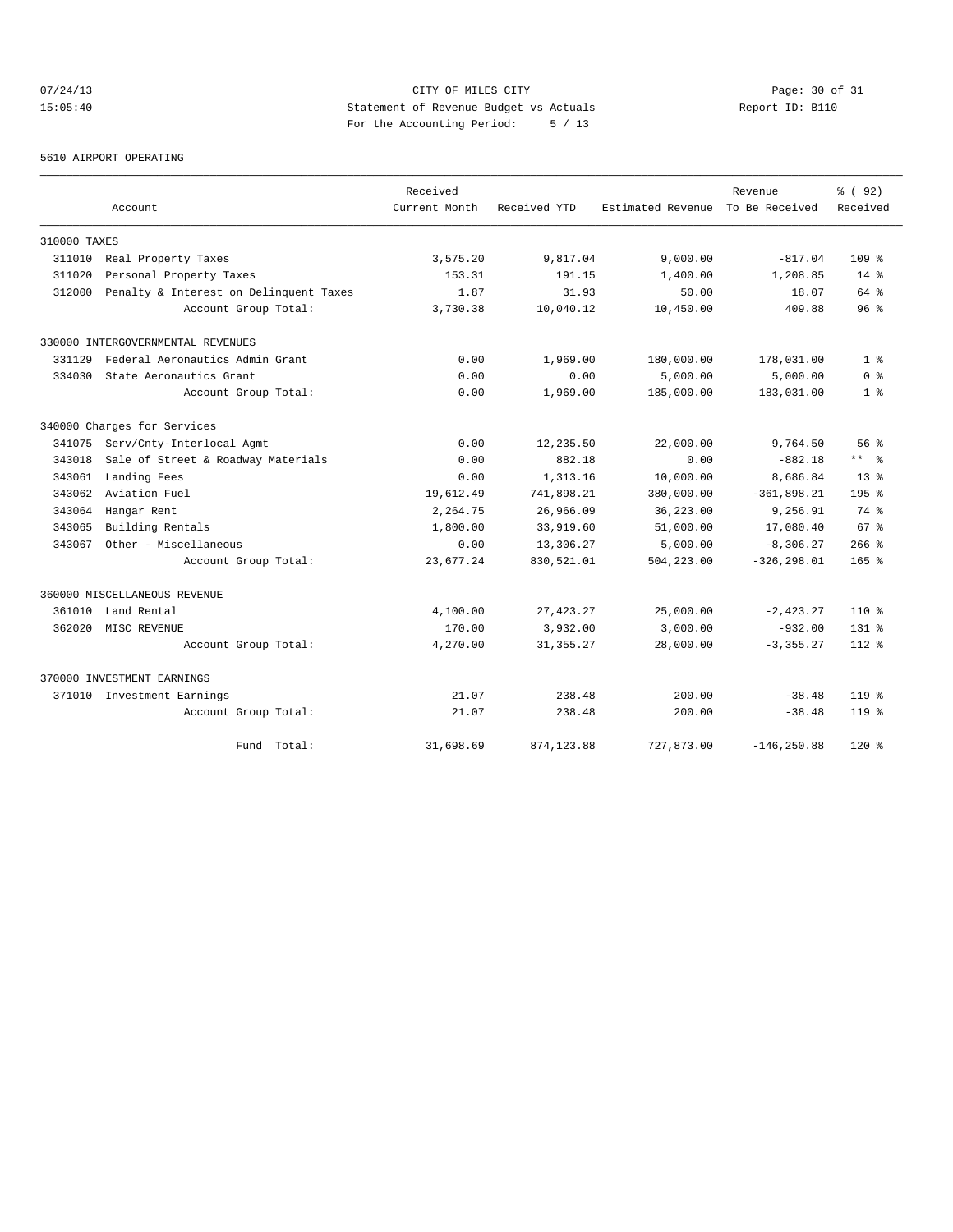# 07/24/13 Page: 30 of 31 15:05:40 Statement of Revenue Budget vs Actuals Report ID: B110 For the Accounting Period: 5 / 13

#### 5610 AIRPORT OPERATING

|              |                                        | Received      |              |                   | Revenue        | % (92)           |
|--------------|----------------------------------------|---------------|--------------|-------------------|----------------|------------------|
|              | Account                                | Current Month | Received YTD | Estimated Revenue | To Be Received | Received         |
| 310000 TAXES |                                        |               |              |                   |                |                  |
| 311010       | Real Property Taxes                    | 3,575.20      | 9,817.04     | 9,000.00          | $-817.04$      | 109 <sub>8</sub> |
| 311020       | Personal Property Taxes                | 153.31        | 191.15       | 1,400.00          | 1,208.85       | $14*$            |
| 312000       | Penalty & Interest on Delinquent Taxes | 1.87          | 31.93        | 50.00             | 18.07          | 64 %             |
|              | Account Group Total:                   | 3,730.38      | 10,040.12    | 10,450.00         | 409.88         | 96 <sup>°</sup>  |
|              | 330000 INTERGOVERNMENTAL REVENUES      |               |              |                   |                |                  |
| 331129       | Federal Aeronautics Admin Grant        | 0.00          | 1,969.00     | 180,000.00        | 178,031.00     | 1 <sup>8</sup>   |
| 334030       | State Aeronautics Grant                | 0.00          | 0.00         | 5,000.00          | 5,000.00       | 0 <sup>8</sup>   |
|              | Account Group Total:                   | 0.00          | 1,969.00     | 185,000.00        | 183,031.00     | 1 <sup>8</sup>   |
|              | 340000 Charges for Services            |               |              |                   |                |                  |
| 341075       | Serv/Cnty-Interlocal Agmt              | 0.00          | 12,235.50    | 22,000.00         | 9,764.50       | 56%              |
| 343018       | Sale of Street & Roadway Materials     | 0.00          | 882.18       | 0.00              | $-882.18$      | $***$ $%$        |
| 343061       | Landing Fees                           | 0.00          | 1,313.16     | 10,000.00         | 8,686.84       | 13 <sup>8</sup>  |
| 343062       | Aviation Fuel                          | 19,612.49     | 741,898.21   | 380,000.00        | $-361,898.21$  | $195*$           |
| 343064       | Hangar Rent                            | 2,264.75      | 26,966.09    | 36, 223, 00       | 9,256.91       | 74 %             |
| 343065       | Building Rentals                       | 1,800.00      | 33,919.60    | 51,000.00         | 17,080.40      | 67 <sup>8</sup>  |
| 343067       | Other - Miscellaneous                  | 0.00          | 13,306.27    | 5,000.00          | $-8,306.27$    | $266$ %          |
|              | Account Group Total:                   | 23,677.24     | 830,521.01   | 504,223.00        | $-326, 298.01$ | $165$ %          |
|              | 360000 MISCELLANEOUS REVENUE           |               |              |                   |                |                  |
| 361010       | Land Rental                            | 4,100.00      | 27, 423.27   | 25,000.00         | $-2, 423.27$   | $110*$           |
| 362020       | MISC REVENUE                           | 170.00        | 3,932.00     | 3,000.00          | $-932.00$      | $131*$           |
|              | Account Group Total:                   | 4,270.00      | 31, 355.27   | 28,000.00         | $-3, 355.27$   | $112*$           |
|              | 370000 INVESTMENT EARNINGS             |               |              |                   |                |                  |
|              | 371010 Investment Earnings             | 21.07         | 238.48       | 200.00            | $-38.48$       | $119*$           |
|              | Account Group Total:                   | 21.07         | 238.48       | 200.00            | $-38.48$       | $119*$           |
|              | Total:<br>Fund                         | 31,698.69     | 874, 123, 88 | 727,873.00        | $-146, 250.88$ | $120*$           |